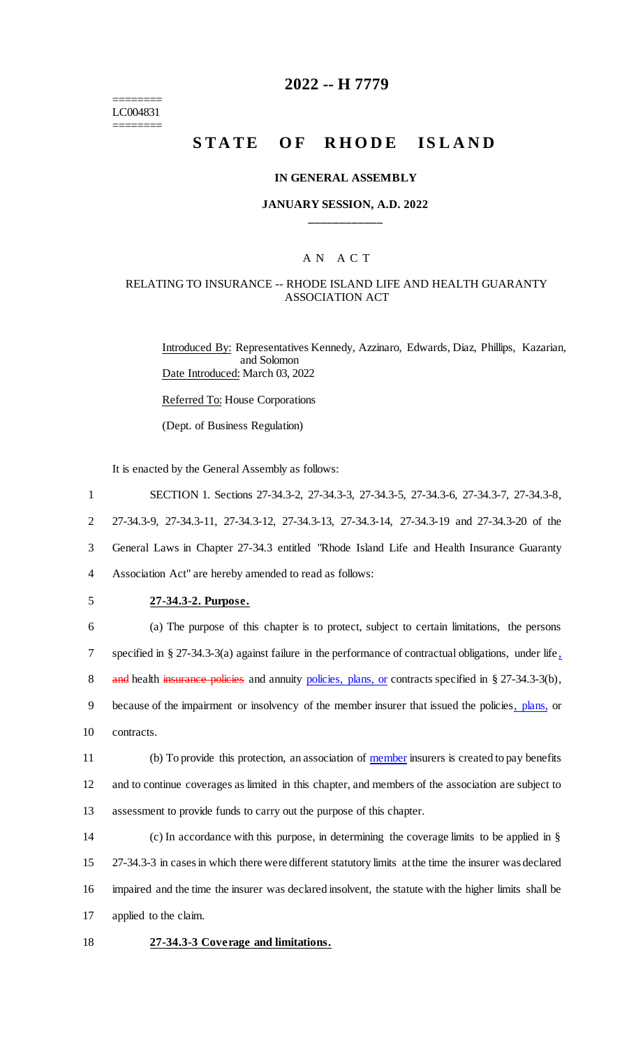======== LC004831 ========

# **2022 -- H 7779**

# **STATE OF RHODE ISLAND**

### **IN GENERAL ASSEMBLY**

### **JANUARY SESSION, A.D. 2022 \_\_\_\_\_\_\_\_\_\_\_\_**

### A N A C T

### RELATING TO INSURANCE -- RHODE ISLAND LIFE AND HEALTH GUARANTY ASSOCIATION ACT

Introduced By: Representatives Kennedy, Azzinaro, Edwards, Diaz, Phillips, Kazarian, and Solomon Date Introduced: March 03, 2022

Referred To: House Corporations

(Dept. of Business Regulation)

It is enacted by the General Assembly as follows:

| $\mathbf{1}$   | SECTION 1. Sections 27-34.3-2, 27-34.3-3, 27-34.3-5, 27-34.3-6, 27-34.3-7, 27-34.3-8,                    |
|----------------|----------------------------------------------------------------------------------------------------------|
| $\overline{2}$ | 27-34.3-9, 27-34.3-11, 27-34.3-12, 27-34.3-13, 27-34.3-14, 27-34.3-19 and 27-34.3-20 of the              |
| 3              | General Laws in Chapter 27-34.3 entitled "Rhode Island Life and Health Insurance Guaranty                |
| $\overline{4}$ | Association Act" are hereby amended to read as follows:                                                  |
| 5              | 27-34.3-2. Purpose.                                                                                      |
| 6              | (a) The purpose of this chapter is to protect, subject to certain limitations, the persons               |
| 7              | specified in § 27-34.3-3(a) against failure in the performance of contractual obligations, under life,   |
| 8              | and health insurance policies and annuity policies, plans, or contracts specified in $\S 27-34.3-3(b)$ , |
| 9              | because of the impairment or insolvency of the member insurer that issued the policies, plans, or        |
| 10             | contracts.                                                                                               |
| 11             | (b) To provide this protection, an association of member insurers is created to pay benefits             |
| 12             | and to continue coverages as limited in this chapter, and members of the association are subject to      |
| 13             | assessment to provide funds to carry out the purpose of this chapter.                                    |
| 14             | (c) In accordance with this purpose, in determining the coverage limits to be applied in $\S$            |
| 15             | 27-34.3-3 in cases in which there were different statutory limits at the time the insurer was declared   |
| 16             | impaired and the time the insurer was declared insolvent, the statute with the higher limits shall be    |
| 17             | applied to the claim.                                                                                    |

18 **27-34.3-3 Coverage and limitations.**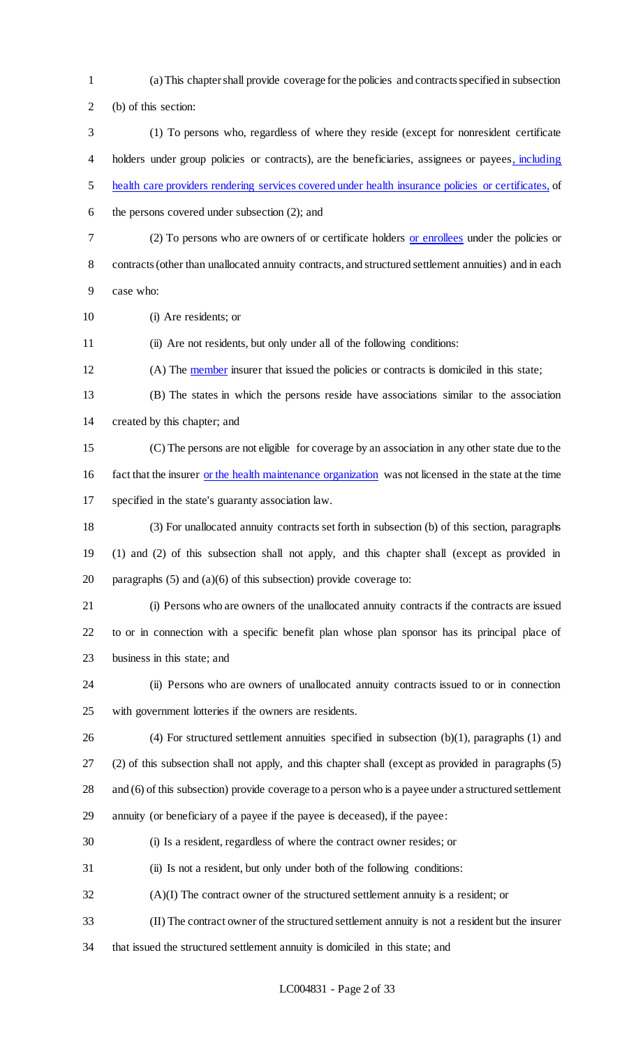- (a) This chapter shall provide coverage for the policies and contracts specified in subsection (b) of this section:
- (1) To persons who, regardless of where they reside (except for nonresident certificate holders under group policies or contracts), are the beneficiaries, assignees or payees, including health care providers rendering services covered under health insurance policies or certificates, of
- the persons covered under subsection (2); and
- 

 (2) To persons who are owners of or certificate holders or enrollees under the policies or contracts (other than unallocated annuity contracts, and structured settlement annuities) and in each

- case who:
- (i) Are residents; or

(ii) Are not residents, but only under all of the following conditions:

12 (A) The member insurer that issued the policies or contracts is domiciled in this state;

 (B) The states in which the persons reside have associations similar to the association created by this chapter; and

 (C) The persons are not eligible for coverage by an association in any other state due to the fact that the insurer or the health maintenance organization was not licensed in the state at the time specified in the state's guaranty association law.

 (3) For unallocated annuity contracts set forth in subsection (b) of this section, paragraphs (1) and (2) of this subsection shall not apply, and this chapter shall (except as provided in 20 paragraphs  $(5)$  and  $(a)(6)$  of this subsection) provide coverage to:

 (i) Persons who are owners of the unallocated annuity contracts if the contracts are issued to or in connection with a specific benefit plan whose plan sponsor has its principal place of business in this state; and

- (ii) Persons who are owners of unallocated annuity contracts issued to or in connection with government lotteries if the owners are residents.
- 

(4) For structured settlement annuities specified in subsection (b)(1), paragraphs (1) and

(2) of this subsection shall not apply, and this chapter shall (except as provided in paragraphs (5)

28 and (6) of this subsection) provide coverage to a person who is a payee under a structured settlement

annuity (or beneficiary of a payee if the payee is deceased), if the payee:

- (i) Is a resident, regardless of where the contract owner resides; or
- (ii) Is not a resident, but only under both of the following conditions:
- (A)(I) The contract owner of the structured settlement annuity is a resident; or
- (II) The contract owner of the structured settlement annuity is not a resident but the insurer
- that issued the structured settlement annuity is domiciled in this state; and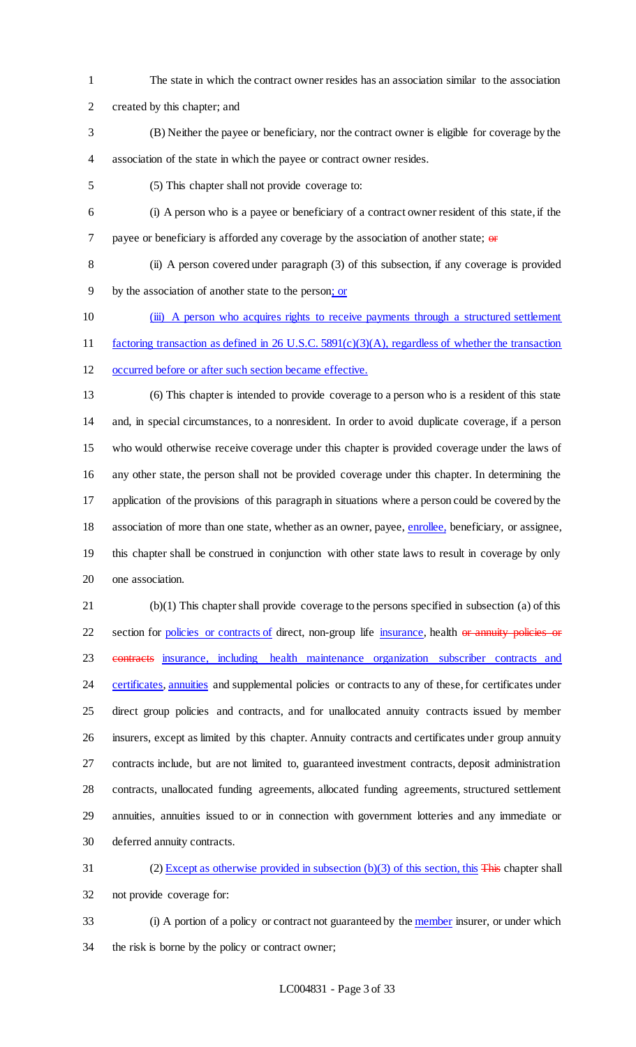- The state in which the contract owner resides has an association similar to the association
- created by this chapter; and
- (B) Neither the payee or beneficiary, nor the contract owner is eligible for coverage by the association of the state in which the payee or contract owner resides.
- (5) This chapter shall not provide coverage to:
- (i) A person who is a payee or beneficiary of a contract owner resident of this state, if the 7 payee or beneficiary is afforded any coverage by the association of another state;  $\theta$
- (ii) A person covered under paragraph (3) of this subsection, if any coverage is provided
- by the association of another state to the person; or
- (iii) A person who acquires rights to receive payments through a structured settlement
- factoring transaction as defined in 26 U.S.C. 5891(c)(3)(A), regardless of whether the transaction
- occurred before or after such section became effective.
- 

 (6) This chapter is intended to provide coverage to a person who is a resident of this state and, in special circumstances, to a nonresident. In order to avoid duplicate coverage, if a person who would otherwise receive coverage under this chapter is provided coverage under the laws of any other state, the person shall not be provided coverage under this chapter. In determining the application of the provisions of this paragraph in situations where a person could be covered by the 18 association of more than one state, whether as an owner, payee, enrollee, beneficiary, or assignee, this chapter shall be construed in conjunction with other state laws to result in coverage by only one association.

 (b)(1) This chapter shall provide coverage to the persons specified in subsection (a) of this 22 section for policies or contracts of direct, non-group life insurance, health or annuity policies or contracts insurance, including health maintenance organization subscriber contracts and 24 certificates, annuities and supplemental policies or contracts to any of these, for certificates under direct group policies and contracts, and for unallocated annuity contracts issued by member insurers, except as limited by this chapter. Annuity contracts and certificates under group annuity contracts include, but are not limited to, guaranteed investment contracts, deposit administration contracts, unallocated funding agreements, allocated funding agreements, structured settlement annuities, annuities issued to or in connection with government lotteries and any immediate or deferred annuity contracts.

 (2) Except as otherwise provided in subsection (b)(3) of this section, this This chapter shall not provide coverage for:

33 (i) A portion of a policy or contract not guaranteed by the member insurer, or under which the risk is borne by the policy or contract owner;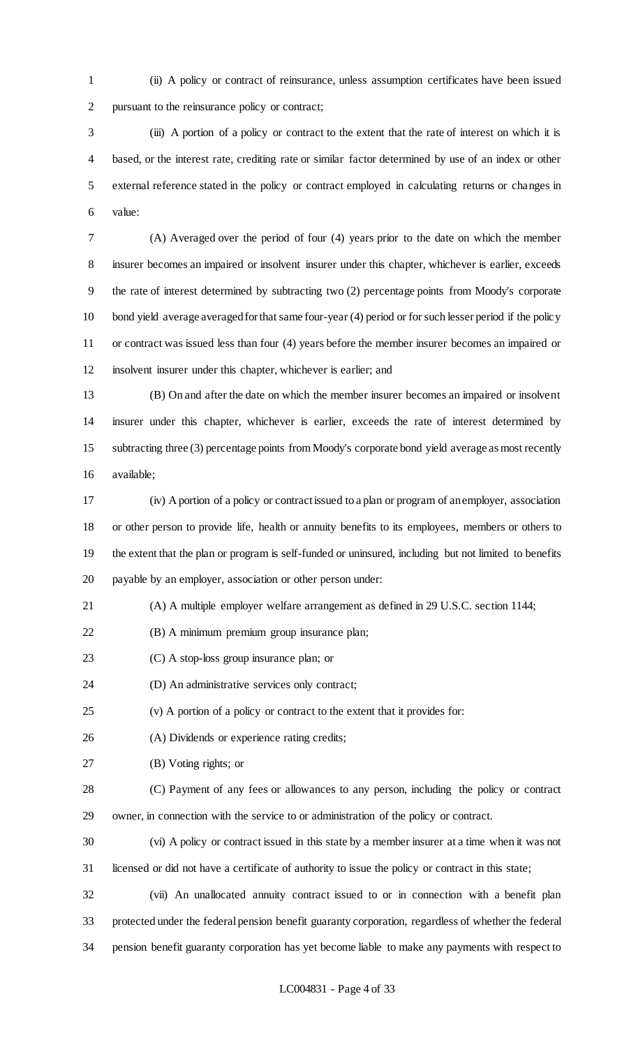(ii) A policy or contract of reinsurance, unless assumption certificates have been issued pursuant to the reinsurance policy or contract;

 (iii) A portion of a policy or contract to the extent that the rate of interest on which it is based, or the interest rate, crediting rate or similar factor determined by use of an index or other external reference stated in the policy or contract employed in calculating returns or changes in value:

 (A) Averaged over the period of four (4) years prior to the date on which the member insurer becomes an impaired or insolvent insurer under this chapter, whichever is earlier, exceeds the rate of interest determined by subtracting two (2) percentage points from Moody's corporate bond yield average averaged for that same four-year (4) period or for such lesser period if the policy or contract was issued less than four (4) years before the member insurer becomes an impaired or insolvent insurer under this chapter, whichever is earlier; and

 (B) On and after the date on which the member insurer becomes an impaired or insolvent insurer under this chapter, whichever is earlier, exceeds the rate of interest determined by subtracting three (3) percentage points from Moody's corporate bond yield average as most recently available;

 (iv) A portion of a policy or contract issued to a plan or program of an employer, association or other person to provide life, health or annuity benefits to its employees, members or others to the extent that the plan or program is self-funded or uninsured, including but not limited to benefits payable by an employer, association or other person under:

(A) A multiple employer welfare arrangement as defined in 29 U.S.C. section 1144;

(B) A minimum premium group insurance plan;

(C) A stop-loss group insurance plan; or

(D) An administrative services only contract;

(v) A portion of a policy or contract to the extent that it provides for:

(A) Dividends or experience rating credits;

(B) Voting rights; or

 (C) Payment of any fees or allowances to any person, including the policy or contract owner, in connection with the service to or administration of the policy or contract.

(vi) A policy or contract issued in this state by a member insurer at a time when it was not

licensed or did not have a certificate of authority to issue the policy or contract in this state;

 (vii) An unallocated annuity contract issued to or in connection with a benefit plan protected under the federal pension benefit guaranty corporation, regardless of whether the federal pension benefit guaranty corporation has yet become liable to make any payments with respect to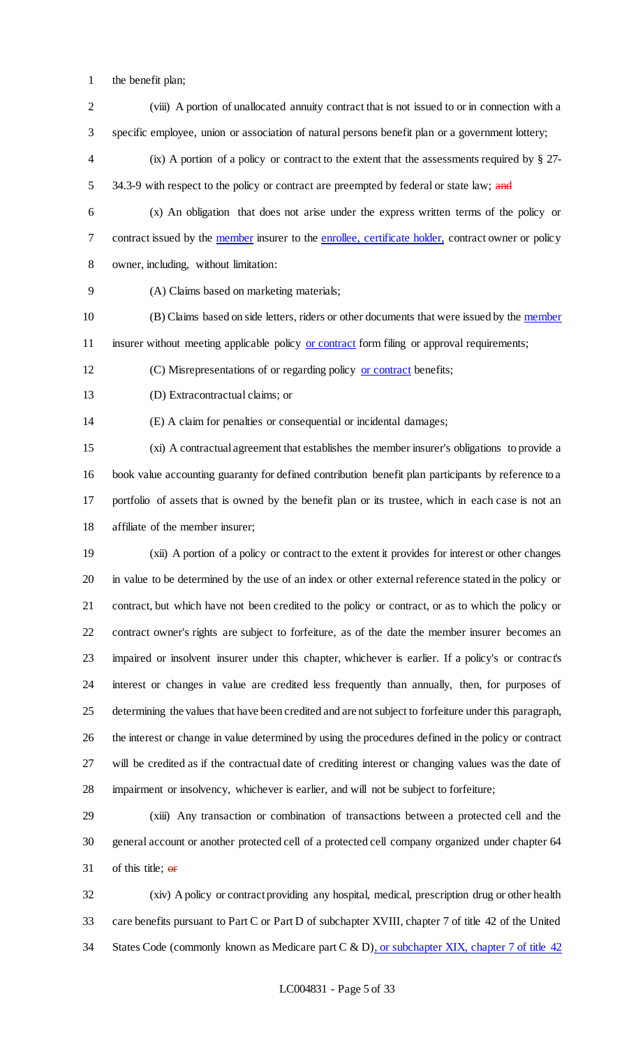- the benefit plan;
- (viii) A portion of unallocated annuity contract that is not issued to or in connection with a specific employee, union or association of natural persons benefit plan or a government lottery;
- (ix) A portion of a policy or contract to the extent that the assessments required by § 27- 5 34.3-9 with respect to the policy or contract are preempted by federal or state law; and
- (x) An obligation that does not arise under the express written terms of the policy or contract issued by the member insurer to the enrollee, certificate holder, contract owner or policy owner, including, without limitation:
- (A) Claims based on marketing materials;
- 10 (B) Claims based on side letters, riders or other documents that were issued by the member 11 insurer without meeting applicable policy or contract form filing or approval requirements;
- (C) Misrepresentations of or regarding policy or contract benefits;
- (D) Extracontractual claims; or

(E) A claim for penalties or consequential or incidental damages;

 (xi) A contractual agreement that establishes the member insurer's obligations to provide a book value accounting guaranty for defined contribution benefit plan participants by reference to a portfolio of assets that is owned by the benefit plan or its trustee, which in each case is not an affiliate of the member insurer;

 (xii) A portion of a policy or contract to the extent it provides for interest or other changes in value to be determined by the use of an index or other external reference stated in the policy or contract, but which have not been credited to the policy or contract, or as to which the policy or contract owner's rights are subject to forfeiture, as of the date the member insurer becomes an impaired or insolvent insurer under this chapter, whichever is earlier. If a policy's or contract's interest or changes in value are credited less frequently than annually, then, for purposes of determining the values that have been credited and are not subject to forfeiture under this paragraph, the interest or change in value determined by using the procedures defined in the policy or contract will be credited as if the contractual date of crediting interest or changing values was the date of impairment or insolvency, whichever is earlier, and will not be subject to forfeiture;

 (xiii) Any transaction or combination of transactions between a protected cell and the general account or another protected cell of a protected cell company organized under chapter 64 31 of this title;  $\Theta$ **F** 

 (xiv) A policy or contract providing any hospital, medical, prescription drug or other health care benefits pursuant to Part C or Part D of subchapter XVIII, chapter 7 of title 42 of the United 34 States Code (commonly known as Medicare part C & D), or subchapter XIX, chapter 7 of title 42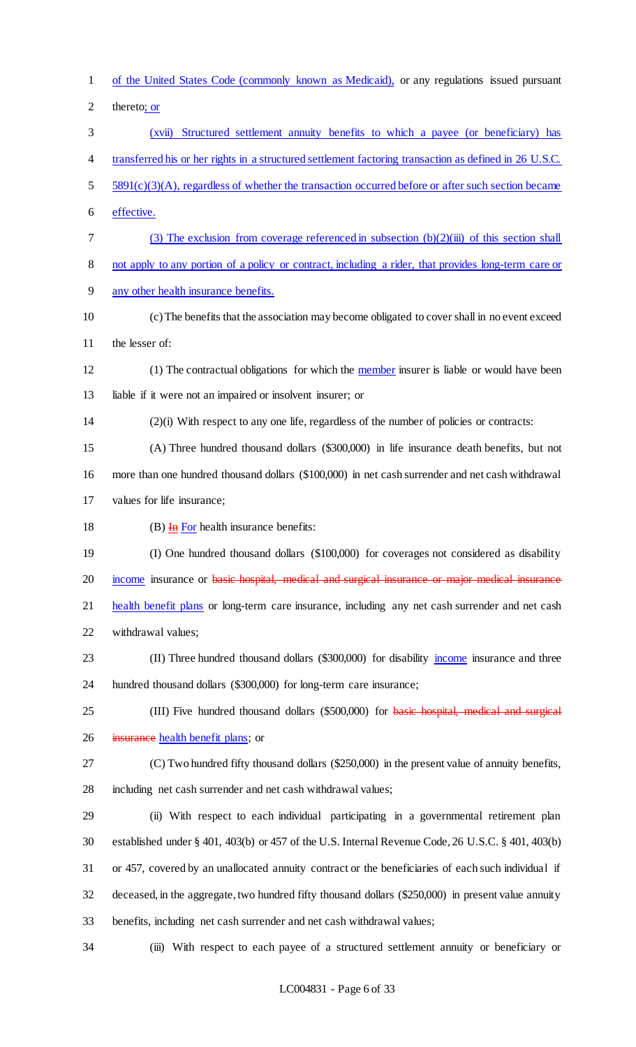of the United States Code (commonly known as Medicaid), or any regulations issued pursuant thereto; or (xvii) Structured settlement annuity benefits to which a payee (or beneficiary) has transferred his or her rights in a structured settlement factoring transaction as defined in 26 U.S.C. 5 5891(c)(3)(A), regardless of whether the transaction occurred before or after such section became effective. (3) The exclusion from coverage referenced in subsection (b)(2)(iii) of this section shall not apply to any portion of a policy or contract, including a rider, that provides long-term care or any other health insurance benefits. (c) The benefits that the association may become obligated to cover shall in no event exceed the lesser of: (1) The contractual obligations for which the member insurer is liable or would have been liable if it were not an impaired or insolvent insurer; or (2)(i) With respect to any one life, regardless of the number of policies or contracts: (A) Three hundred thousand dollars (\$300,000) in life insurance death benefits, but not more than one hundred thousand dollars (\$100,000) in net cash surrender and net cash withdrawal values for life insurance; 18 (B)  $\overline{H}$  For health insurance benefits: (I) One hundred thousand dollars (\$100,000) for coverages not considered as disability 20 income insurance or basic hospital, medical and surgical insurance or major medical insurance 21 health benefit plans or long-term care insurance, including any net cash surrender and net cash withdrawal values; 23 (II) Three hundred thousand dollars (\$300,000) for disability income insurance and three hundred thousand dollars (\$300,000) for long-term care insurance; 25 (III) Five hundred thousand dollars (\$500,000) for basic hospital, medical and surgical 26 insurance health benefit plans; or (C) Two hundred fifty thousand dollars (\$250,000) in the present value of annuity benefits, including net cash surrender and net cash withdrawal values; (ii) With respect to each individual participating in a governmental retirement plan established under § 401, 403(b) or 457 of the U.S. Internal Revenue Code, 26 U.S.C. § 401, 403(b) or 457, covered by an unallocated annuity contract or the beneficiaries of each such individual if deceased, in the aggregate, two hundred fifty thousand dollars (\$250,000) in present value annuity benefits, including net cash surrender and net cash withdrawal values; (iii) With respect to each payee of a structured settlement annuity or beneficiary or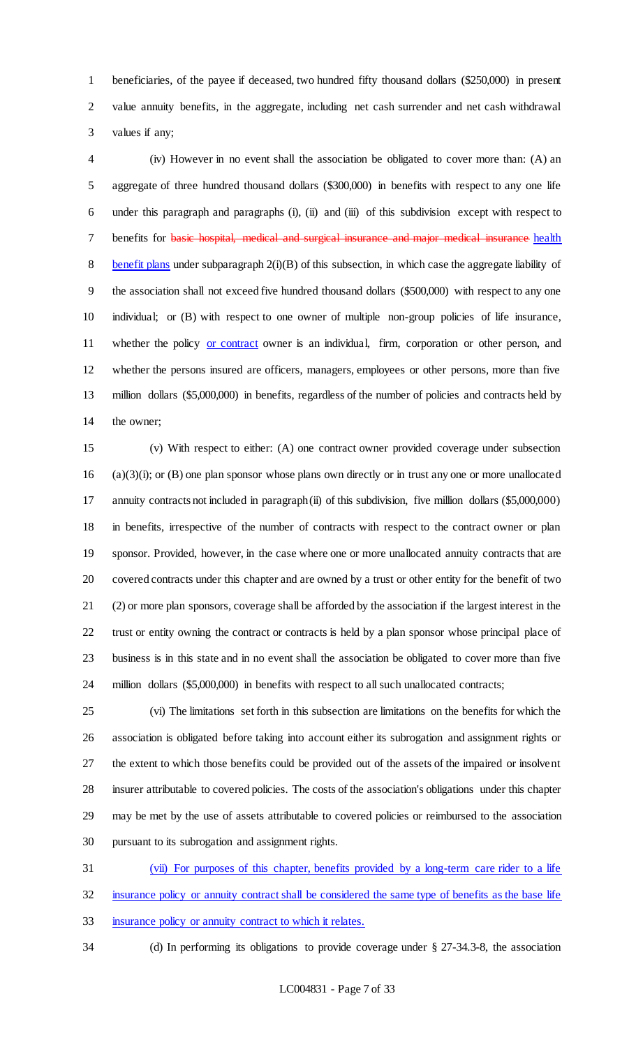beneficiaries, of the payee if deceased, two hundred fifty thousand dollars (\$250,000) in present value annuity benefits, in the aggregate, including net cash surrender and net cash withdrawal values if any;

 (iv) However in no event shall the association be obligated to cover more than: (A) an aggregate of three hundred thousand dollars (\$300,000) in benefits with respect to any one life under this paragraph and paragraphs (i), (ii) and (iii) of this subdivision except with respect to 7 benefits for basic hospital, medical and surgical insurance and major medical insurance health benefit plans under subparagraph 2(i)(B) of this subsection, in which case the aggregate liability of the association shall not exceed five hundred thousand dollars (\$500,000) with respect to any one individual; or (B) with respect to one owner of multiple non-group policies of life insurance, 11 whether the policy or contract owner is an individual, firm, corporation or other person, and whether the persons insured are officers, managers, employees or other persons, more than five million dollars (\$5,000,000) in benefits, regardless of the number of policies and contracts held by the owner;

 (v) With respect to either: (A) one contract owner provided coverage under subsection (a)(3)(i); or (B) one plan sponsor whose plans own directly or in trust any one or more unallocated annuity contracts not included in paragraph (ii) of this subdivision, five million dollars (\$5,000,000) in benefits, irrespective of the number of contracts with respect to the contract owner or plan sponsor. Provided, however, in the case where one or more unallocated annuity contracts that are covered contracts under this chapter and are owned by a trust or other entity for the benefit of two (2) or more plan sponsors, coverage shall be afforded by the association if the largest interest in the trust or entity owning the contract or contracts is held by a plan sponsor whose principal place of business is in this state and in no event shall the association be obligated to cover more than five million dollars (\$5,000,000) in benefits with respect to all such unallocated contracts;

 (vi) The limitations set forth in this subsection are limitations on the benefits for which the association is obligated before taking into account either its subrogation and assignment rights or the extent to which those benefits could be provided out of the assets of the impaired or insolvent insurer attributable to covered policies. The costs of the association's obligations under this chapter may be met by the use of assets attributable to covered policies or reimbursed to the association pursuant to its subrogation and assignment rights.

 (vii) For purposes of this chapter, benefits provided by a long-term care rider to a life insurance policy or annuity contract shall be considered the same type of benefits as the base life insurance policy or annuity contract to which it relates.

(d) In performing its obligations to provide coverage under § 27-34.3-8, the association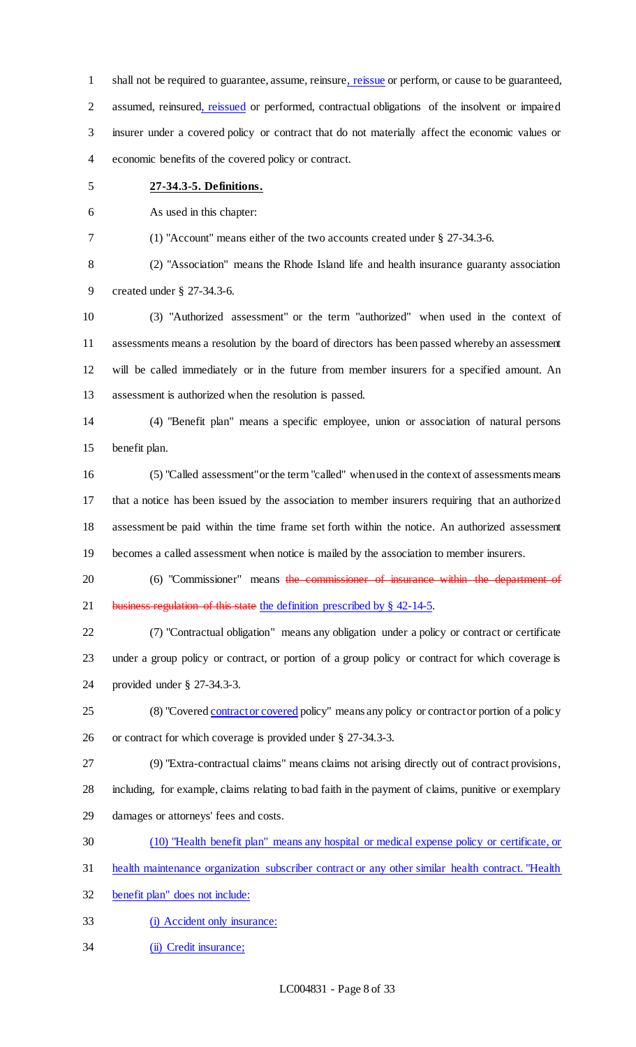shall not be required to guarantee, assume, reinsure, reissue or perform, or cause to be guaranteed, assumed, reinsured, reissued or performed, contractual obligations of the insolvent or impaired insurer under a covered policy or contract that do not materially affect the economic values or economic benefits of the covered policy or contract.

### **27-34.3-5. Definitions.**

As used in this chapter:

(1) "Account" means either of the two accounts created under § 27-34.3-6.

 (2) "Association" means the Rhode Island life and health insurance guaranty association created under § 27-34.3-6.

 (3) "Authorized assessment" or the term "authorized" when used in the context of assessments means a resolution by the board of directors has been passed whereby an assessment will be called immediately or in the future from member insurers for a specified amount. An assessment is authorized when the resolution is passed.

 (4) "Benefit plan" means a specific employee, union or association of natural persons benefit plan.

 (5) "Called assessment" or the term "called" when used in the context of assessments means that a notice has been issued by the association to member insurers requiring that an authorized assessment be paid within the time frame set forth within the notice. An authorized assessment becomes a called assessment when notice is mailed by the association to member insurers.

20 (6) "Commissioner" means the commissioner of insurance within the department of 21 business regulation of this state the definition prescribed by § 42-14-5.

 (7) "Contractual obligation" means any obligation under a policy or contract or certificate under a group policy or contract, or portion of a group policy or contract for which coverage is provided under § 27-34.3-3.

25 (8) "Covered contract or covered policy" means any policy or contract or portion of a policy or contract for which coverage is provided under § 27-34.3-3.

(9) "Extra-contractual claims" means claims not arising directly out of contract provisions,

including, for example, claims relating to bad faith in the payment of claims, punitive or exemplary

- damages or attorneys' fees and costs.
- (10) "Health benefit plan" means any hospital or medical expense policy or certificate, or
- health maintenance organization subscriber contract or any other similar health contract. "Health

benefit plan" does not include:

- (i) Accident only insurance:
- (ii) Credit insurance;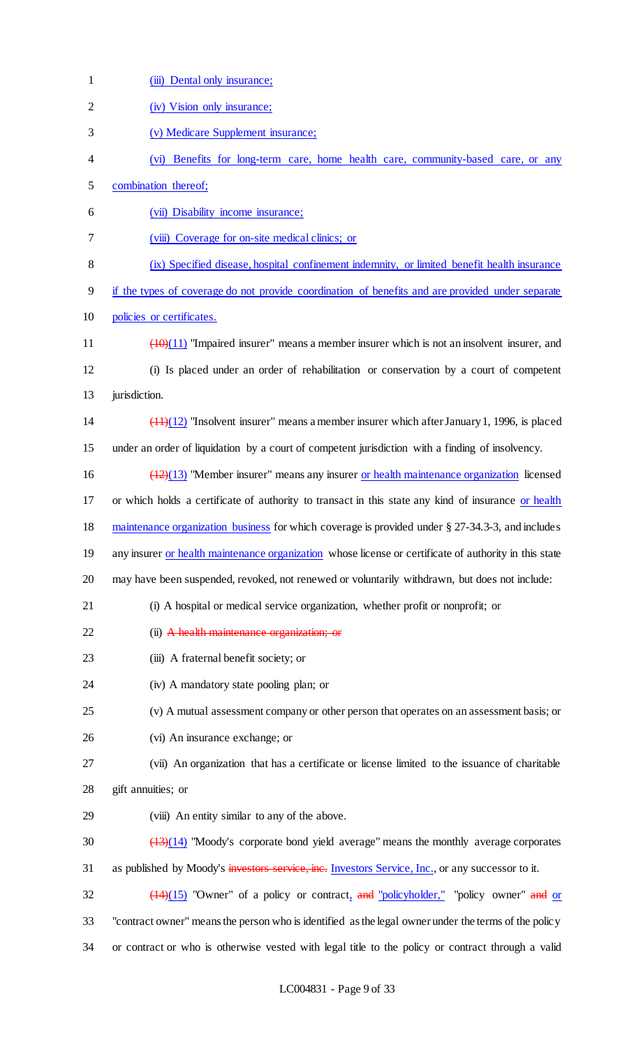| $\mathbf{1}$   | (iii) Dental only insurance;                                                                                 |
|----------------|--------------------------------------------------------------------------------------------------------------|
| $\overline{2}$ | (iv) Vision only insurance;                                                                                  |
| 3              | (v) Medicare Supplement insurance;                                                                           |
| 4              | (vi) Benefits for long-term care, home health care, community-based care, or any                             |
| 5              | combination thereof;                                                                                         |
| 6              | (vii) Disability income insurance;                                                                           |
| 7              | (viii) Coverage for on-site medical clinics; or                                                              |
| 8              | (ix) Specified disease, hospital confinement indemnity, or limited benefit health insurance                  |
| 9              | if the types of coverage do not provide coordination of benefits and are provided under separate             |
| 10             | policies or certificates.                                                                                    |
| 11             | $\frac{(10)(11)}{(10)(11)}$ "Impaired insurer" means a member insurer which is not an insolvent insurer, and |
| 12             | (i) Is placed under an order of rehabilitation or conservation by a court of competent                       |
| 13             | jurisdiction.                                                                                                |
| 14             | $(11)(12)$ "Insolvent insurer" means a member insurer which after January 1, 1996, is placed                 |
| 15             | under an order of liquidation by a court of competent jurisdiction with a finding of insolvency.             |
| 16             | $(12)(13)$ "Member insurer" means any insurer or health maintenance organization licensed                    |
| 17             | or which holds a certificate of authority to transact in this state any kind of insurance or health          |
| 18             | maintenance organization business for which coverage is provided under § 27-34.3-3, and includes             |
| 19             | any insurer or health maintenance organization whose license or certificate of authority in this state       |
| 20             | may have been suspended, revoked, not renewed or voluntarily withdrawn, but does not include:                |
| 21             | (i) A hospital or medical service organization, whether profit or nonprofit; or                              |
| 22             | (ii) A health maintenance organization; or                                                                   |
| 23             | (iii) A fraternal benefit society; or                                                                        |
| 24             | (iv) A mandatory state pooling plan; or                                                                      |
| 25             | (v) A mutual assessment company or other person that operates on an assessment basis; or                     |
| 26             | (vi) An insurance exchange; or                                                                               |
| 27             | (vii) An organization that has a certificate or license limited to the issuance of charitable                |
| 28             | gift annuities; or                                                                                           |
| 29             | (viii) An entity similar to any of the above.                                                                |
| 30             | $(13)(14)$ "Moody's corporate bond yield average" means the monthly average corporates                       |
| 31             | as published by Moody's investors service, inc. Investors Service, Inc., or any successor to it.             |
| 32             | $\frac{(14)(15)}{(14)(15)}$ "Owner" of a policy or contract, and "policyholder," "policy owner" and or       |
| 33             | "contract owner" means the person who is identified as the legal owner under the terms of the policy         |
| 34             | or contract or who is otherwise vested with legal title to the policy or contract through a valid            |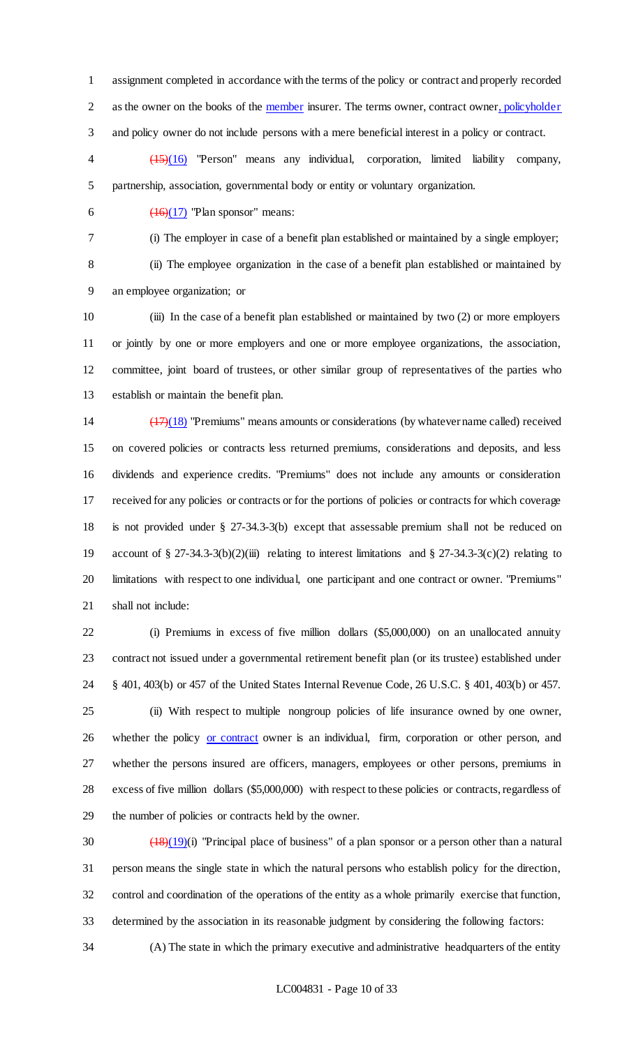assignment completed in accordance with the terms of the policy or contract and properly recorded 2 as the owner on the books of the member insurer. The terms owner, contract owner, policyholder and policy owner do not include persons with a mere beneficial interest in a policy or contract.

 (15)(16) "Person" means any individual, corporation, limited liability company, partnership, association, governmental body or entity or voluntary organization.

6  $\left(16\right)\left(17\right)$  "Plan sponsor" means:

(i) The employer in case of a benefit plan established or maintained by a single employer;

 (ii) The employee organization in the case of a benefit plan established or maintained by an employee organization; or

 (iii) In the case of a benefit plan established or maintained by two (2) or more employers or jointly by one or more employers and one or more employee organizations, the association, committee, joint board of trustees, or other similar group of representatives of the parties who establish or maintain the benefit plan.

 (17)(18) "Premiums" means amounts or considerations (by whatever name called) received on covered policies or contracts less returned premiums, considerations and deposits, and less dividends and experience credits. "Premiums" does not include any amounts or consideration received for any policies or contracts or for the portions of policies or contracts for which coverage is not provided under § 27-34.3-3(b) except that assessable premium shall not be reduced on account of § 27-34.3-3(b)(2)(iii) relating to interest limitations and § 27-34.3-3(c)(2) relating to limitations with respect to one individual, one participant and one contract or owner. "Premiums" shall not include:

 (i) Premiums in excess of five million dollars (\$5,000,000) on an unallocated annuity contract not issued under a governmental retirement benefit plan (or its trustee) established under § 401, 403(b) or 457 of the United States Internal Revenue Code, 26 U.S.C. § 401, 403(b) or 457.

 (ii) With respect to multiple nongroup policies of life insurance owned by one owner, 26 whether the policy or contract owner is an individual, firm, corporation or other person, and whether the persons insured are officers, managers, employees or other persons, premiums in excess of five million dollars (\$5,000,000) with respect to these policies or contracts, regardless of the number of policies or contracts held by the owner.

 $\left(\frac{(18)(19)}{(18)(19)}\right)$  "Principal place of business" of a plan sponsor or a person other than a natural person means the single state in which the natural persons who establish policy for the direction, control and coordination of the operations of the entity as a whole primarily exercise that function, determined by the association in its reasonable judgment by considering the following factors:

(A) The state in which the primary executive and administrative headquarters of the entity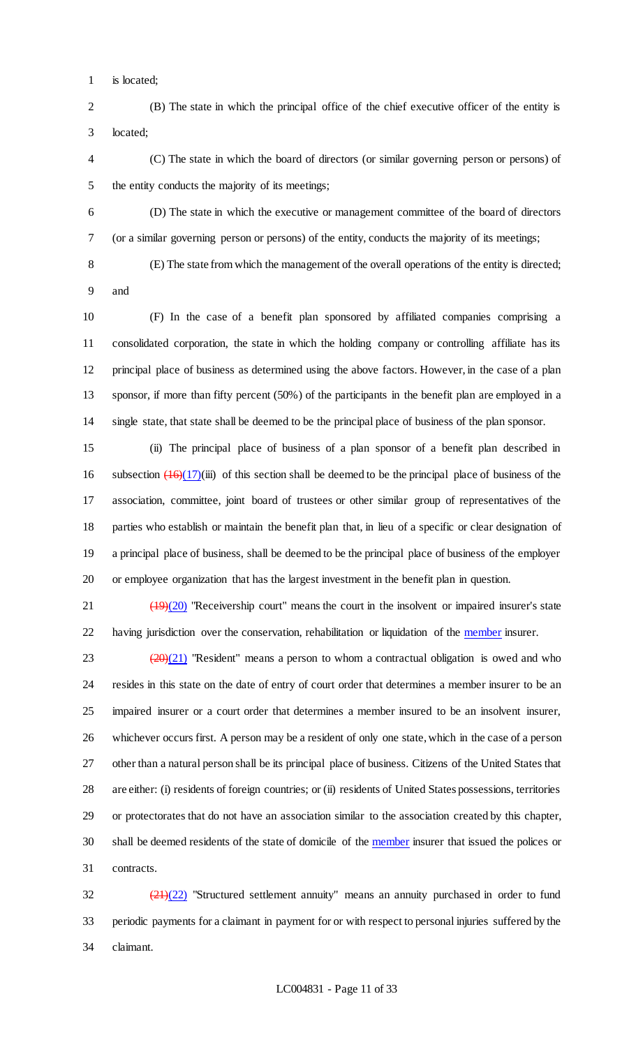is located;

 (B) The state in which the principal office of the chief executive officer of the entity is located;

 (C) The state in which the board of directors (or similar governing person or persons) of the entity conducts the majority of its meetings;

 (D) The state in which the executive or management committee of the board of directors (or a similar governing person or persons) of the entity, conducts the majority of its meetings;

(E) The state from which the management of the overall operations of the entity is directed;

and

 (F) In the case of a benefit plan sponsored by affiliated companies comprising a consolidated corporation, the state in which the holding company or controlling affiliate has its principal place of business as determined using the above factors. However, in the case of a plan sponsor, if more than fifty percent (50%) of the participants in the benefit plan are employed in a single state, that state shall be deemed to be the principal place of business of the plan sponsor.

 (ii) The principal place of business of a plan sponsor of a benefit plan described in 16 subsection  $\left( \frac{16}{17} \right)$ (iii) of this section shall be deemed to be the principal place of business of the association, committee, joint board of trustees or other similar group of representatives of the parties who establish or maintain the benefit plan that, in lieu of a specific or clear designation of a principal place of business, shall be deemed to be the principal place of business of the employer or employee organization that has the largest investment in the benefit plan in question.

21 (19)(20) "Receivership court" means the court in the insolvent or impaired insurer's state 22 having jurisdiction over the conservation, rehabilitation or liquidation of the member insurer.

 $(20)(21)$  "Resident" means a person to whom a contractual obligation is owed and who resides in this state on the date of entry of court order that determines a member insurer to be an impaired insurer or a court order that determines a member insured to be an insolvent insurer, whichever occurs first. A person may be a resident of only one state, which in the case of a person other than a natural person shall be its principal place of business. Citizens of the United States that are either: (i) residents of foreign countries; or (ii) residents of United States possessions, territories or protectorates that do not have an association similar to the association created by this chapter, 30 shall be deemed residents of the state of domicile of the member insurer that issued the polices or contracts.

 $\frac{(21)(22)}{21}$  "Structured settlement annuity" means an annuity purchased in order to fund periodic payments for a claimant in payment for or with respect to personal injuries suffered by the claimant.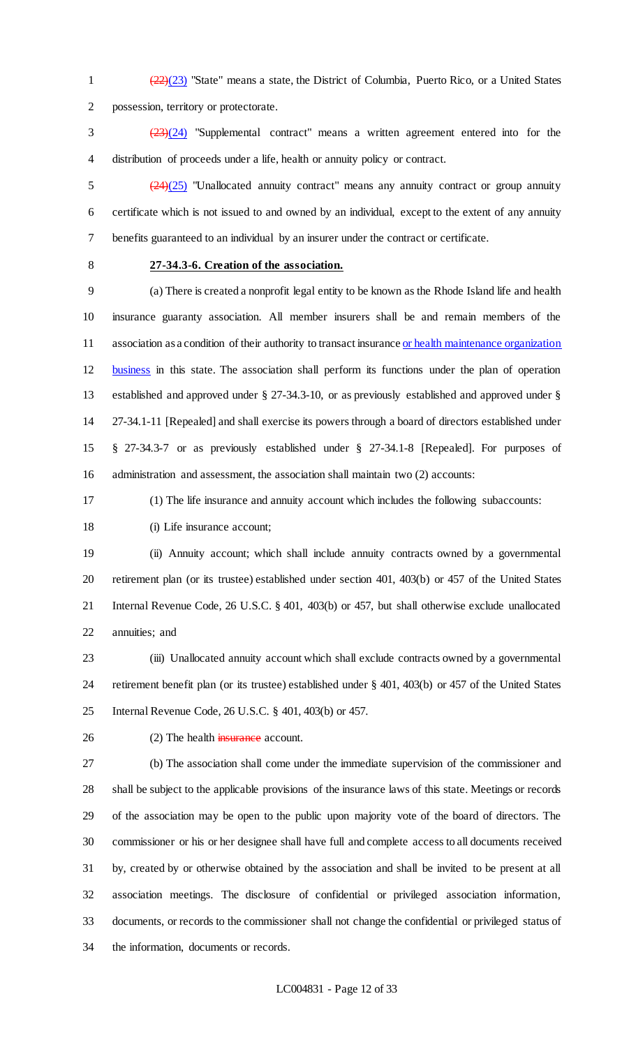1  $\left(\frac{(22)}{(23)}\right)$  "State" means a state, the District of Columbia, Puerto Rico, or a United States possession, territory or protectorate.

 (23)(24) "Supplemental contract" means a written agreement entered into for the distribution of proceeds under a life, health or annuity policy or contract.

 $\frac{(24)(25)}{24}$  "Unallocated annuity contract" means any annuity contract or group annuity certificate which is not issued to and owned by an individual, except to the extent of any annuity benefits guaranteed to an individual by an insurer under the contract or certificate.

### **27-34.3-6. Creation of the association.**

 (a) There is created a nonprofit legal entity to be known as the Rhode Island life and health insurance guaranty association. All member insurers shall be and remain members of the 11 association as a condition of their authority to transact insurance or health maintenance organization business in this state. The association shall perform its functions under the plan of operation established and approved under § 27-34.3-10, or as previously established and approved under § 27-34.1-11 [Repealed] and shall exercise its powers through a board of directors established under § 27-34.3-7 or as previously established under § 27-34.1-8 [Repealed]. For purposes of administration and assessment, the association shall maintain two (2) accounts:

(1) The life insurance and annuity account which includes the following subaccounts:

18 (i) Life insurance account;

 (ii) Annuity account; which shall include annuity contracts owned by a governmental retirement plan (or its trustee) established under section 401, 403(b) or 457 of the United States Internal Revenue Code, 26 U.S.C. § 401, 403(b) or 457, but shall otherwise exclude unallocated annuities; and

 (iii) Unallocated annuity account which shall exclude contracts owned by a governmental retirement benefit plan (or its trustee) established under § 401, 403(b) or 457 of the United States Internal Revenue Code, 26 U.S.C. § 401, 403(b) or 457.

26 (2) The health insurance account.

 (b) The association shall come under the immediate supervision of the commissioner and shall be subject to the applicable provisions of the insurance laws of this state. Meetings or records of the association may be open to the public upon majority vote of the board of directors. The commissioner or his or her designee shall have full and complete access to all documents received by, created by or otherwise obtained by the association and shall be invited to be present at all association meetings. The disclosure of confidential or privileged association information, documents, or records to the commissioner shall not change the confidential or privileged status of the information, documents or records.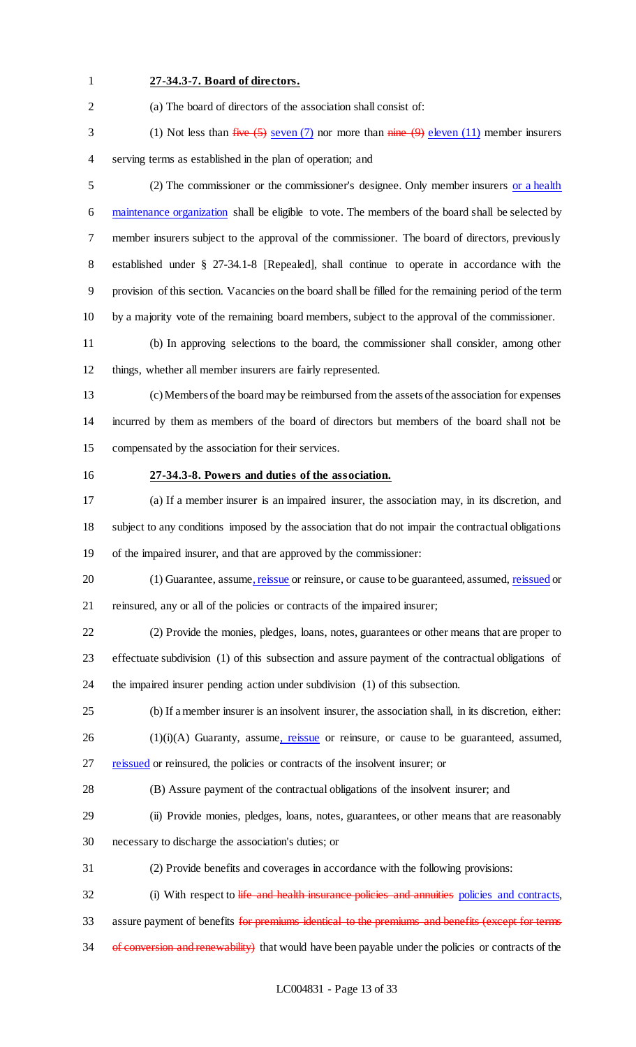### **27-34.3-7. Board of directors.**

(a) The board of directors of the association shall consist of:

3 (1) Not less than  $five (5)$  seven (7) nor more than  $nime (9)$  eleven (11) member insurers serving terms as established in the plan of operation; and

 (2) The commissioner or the commissioner's designee. Only member insurers or a health 6 maintenance organization shall be eligible to vote. The members of the board shall be selected by member insurers subject to the approval of the commissioner. The board of directors, previously established under § 27-34.1-8 [Repealed], shall continue to operate in accordance with the provision of this section. Vacancies on the board shall be filled for the remaining period of the term by a majority vote of the remaining board members, subject to the approval of the commissioner.

 (b) In approving selections to the board, the commissioner shall consider, among other things, whether all member insurers are fairly represented.

 (c) Members of the board may be reimbursed from the assets of the association for expenses incurred by them as members of the board of directors but members of the board shall not be compensated by the association for their services.

### **27-34.3-8. Powers and duties of the association.**

 (a) If a member insurer is an impaired insurer, the association may, in its discretion, and subject to any conditions imposed by the association that do not impair the contractual obligations of the impaired insurer, and that are approved by the commissioner:

20 (1) Guarantee, assume, reissue or reinsure, or cause to be guaranteed, assumed, reissued or reinsured, any or all of the policies or contracts of the impaired insurer;

 (2) Provide the monies, pledges, loans, notes, guarantees or other means that are proper to effectuate subdivision (1) of this subsection and assure payment of the contractual obligations of the impaired insurer pending action under subdivision (1) of this subsection.

(b) If a member insurer is an insolvent insurer, the association shall, in its discretion, either:

(1)(i)(A) Guaranty, assume, reissue or reinsure, or cause to be guaranteed, assumed,

27 reissued or reinsured, the policies or contracts of the insolvent insurer; or

(B) Assure payment of the contractual obligations of the insolvent insurer; and

(ii) Provide monies, pledges, loans, notes, guarantees, or other means that are reasonably

necessary to discharge the association's duties; or

(2) Provide benefits and coverages in accordance with the following provisions:

32 (i) With respect to life and health insurance policies and annuities policies and contracts,

33 assure payment of benefits for premiums identical to the premiums and benefits (except for terms

34 of conversion and renewability) that would have been payable under the policies or contracts of the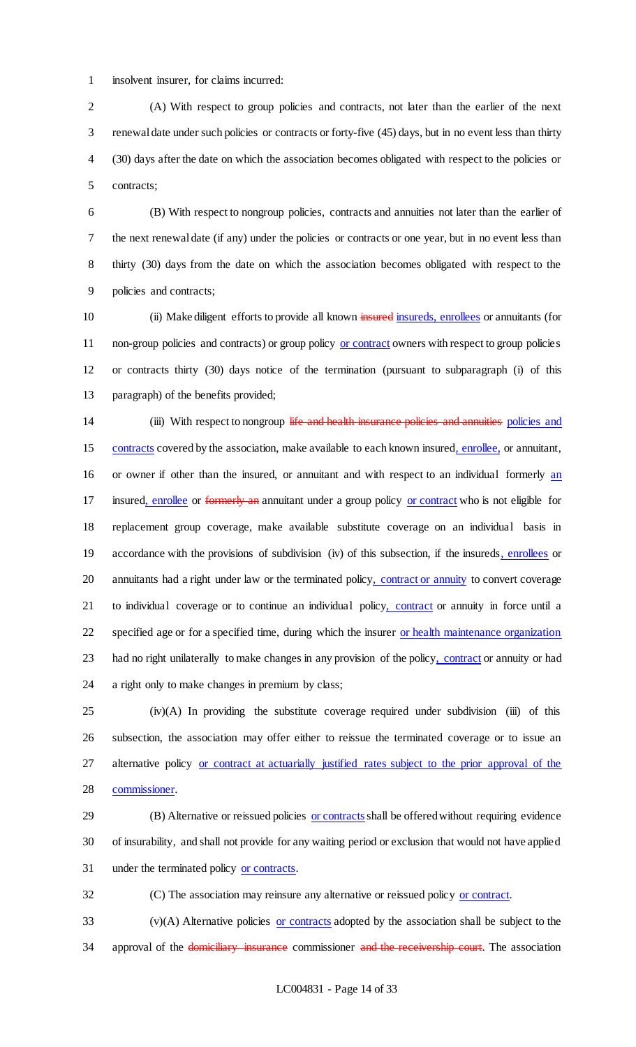insolvent insurer, for claims incurred:

 (A) With respect to group policies and contracts, not later than the earlier of the next renewal date under such policies or contracts or forty-five (45) days, but in no event less than thirty (30) days after the date on which the association becomes obligated with respect to the policies or contracts;

 (B) With respect to nongroup policies, contracts and annuities not later than the earlier of the next renewal date (if any) under the policies or contracts or one year, but in no event less than thirty (30) days from the date on which the association becomes obligated with respect to the policies and contracts;

10 (ii) Make diligent efforts to provide all known insured insureds, enrollees or annuitants (for 11 non-group policies and contracts) or group policy or contract owners with respect to group policies or contracts thirty (30) days notice of the termination (pursuant to subparagraph (i) of this paragraph) of the benefits provided;

14 (iii) With respect to nongroup life and health insurance policies and annuities policies and contracts covered by the association, make available to each known insured, enrollee, or annuitant, or owner if other than the insured, or annuitant and with respect to an individual formerly an 17 insured, enrollee or formerly an annuitant under a group policy or contract who is not eligible for replacement group coverage, make available substitute coverage on an individual basis in 19 accordance with the provisions of subdivision (iv) of this subsection, if the insureds, enrollees or 20 annuitants had a right under law or the terminated policy, contract or annuity to convert coverage 21 to individual coverage or to continue an individual policy, contract or annuity in force until a 22 specified age or for a specified time, during which the insurer or health maintenance organization 23 had no right unilaterally to make changes in any provision of the policy, contract or annuity or had a right only to make changes in premium by class;

 (iv)(A) In providing the substitute coverage required under subdivision (iii) of this subsection, the association may offer either to reissue the terminated coverage or to issue an 27 alternative policy or contract at actuarially justified rates subject to the prior approval of the commissioner.

29 (B) Alternative or reissued policies or contracts shall be offered without requiring evidence of insurability, and shall not provide for any waiting period or exclusion that would not have applied under the terminated policy or contracts.

(C) The association may reinsure any alternative or reissued policy or contract.

 (v)(A) Alternative policies or contracts adopted by the association shall be subject to the 34 approval of the domiciliary insurance commissioner and the receivership court. The association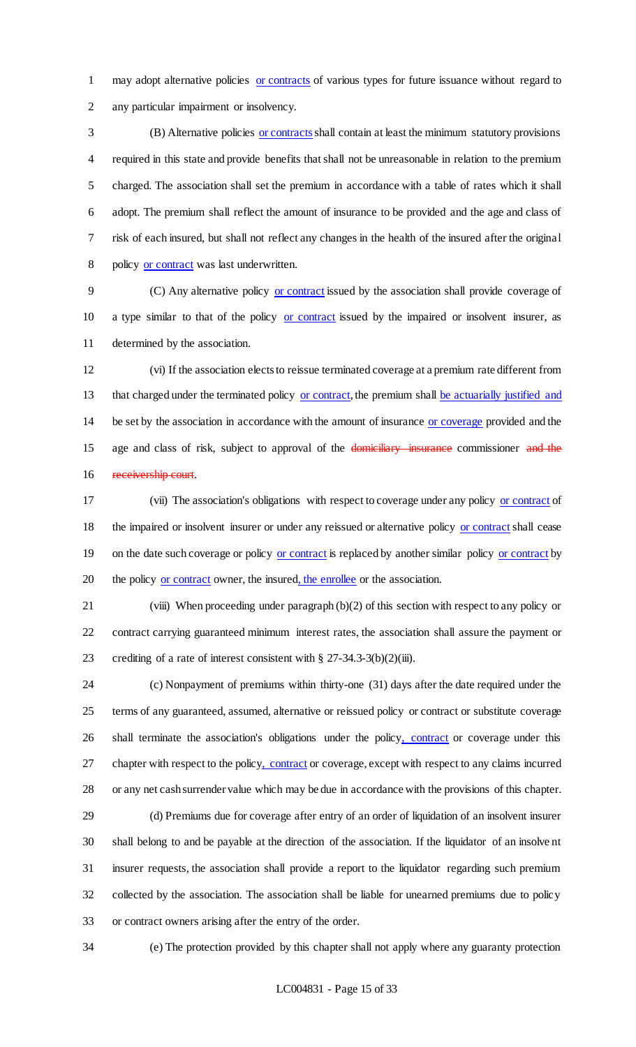may adopt alternative policies or contracts of various types for future issuance without regard to any particular impairment or insolvency.

3 (B) Alternative policies or contracts shall contain at least the minimum statutory provisions required in this state and provide benefits that shall not be unreasonable in relation to the premium charged. The association shall set the premium in accordance with a table of rates which it shall adopt. The premium shall reflect the amount of insurance to be provided and the age and class of risk of each insured, but shall not reflect any changes in the health of the insured after the original 8 policy or contract was last underwritten.

 (C) Any alternative policy or contract issued by the association shall provide coverage of 10 a type similar to that of the policy or contract issued by the impaired or insolvent insurer, as determined by the association.

 (vi) If the association elects to reissue terminated coverage at a premium rate different from 13 that charged under the terminated policy or contract, the premium shall be actuarially justified and 14 be set by the association in accordance with the amount of insurance or coverage provided and the 15 age and class of risk, subject to approval of the domiciliary insurance commissioner and the 16 receivership court.

 (vii) The association's obligations with respect to coverage under any policy or contract of the impaired or insolvent insurer or under any reissued or alternative policy or contract shall cease 19 on the date such coverage or policy or contract is replaced by another similar policy or contract by 20 the policy or contract owner, the insured, the enrollee or the association.

 (viii) When proceeding under paragraph (b)(2) of this section with respect to any policy or contract carrying guaranteed minimum interest rates, the association shall assure the payment or 23 crediting of a rate of interest consistent with § 27-34.3-3(b)(2)(iii).

 (c) Nonpayment of premiums within thirty-one (31) days after the date required under the terms of any guaranteed, assumed, alternative or reissued policy or contract or substitute coverage 26 shall terminate the association's obligations under the policy, contract or coverage under this 27 chapter with respect to the policy, contract or coverage, except with respect to any claims incurred or any net cash surrender value which may be due in accordance with the provisions of this chapter.

 (d) Premiums due for coverage after entry of an order of liquidation of an insolvent insurer shall belong to and be payable at the direction of the association. If the liquidator of an insolve nt insurer requests, the association shall provide a report to the liquidator regarding such premium collected by the association. The association shall be liable for unearned premiums due to policy or contract owners arising after the entry of the order.

(e) The protection provided by this chapter shall not apply where any guaranty protection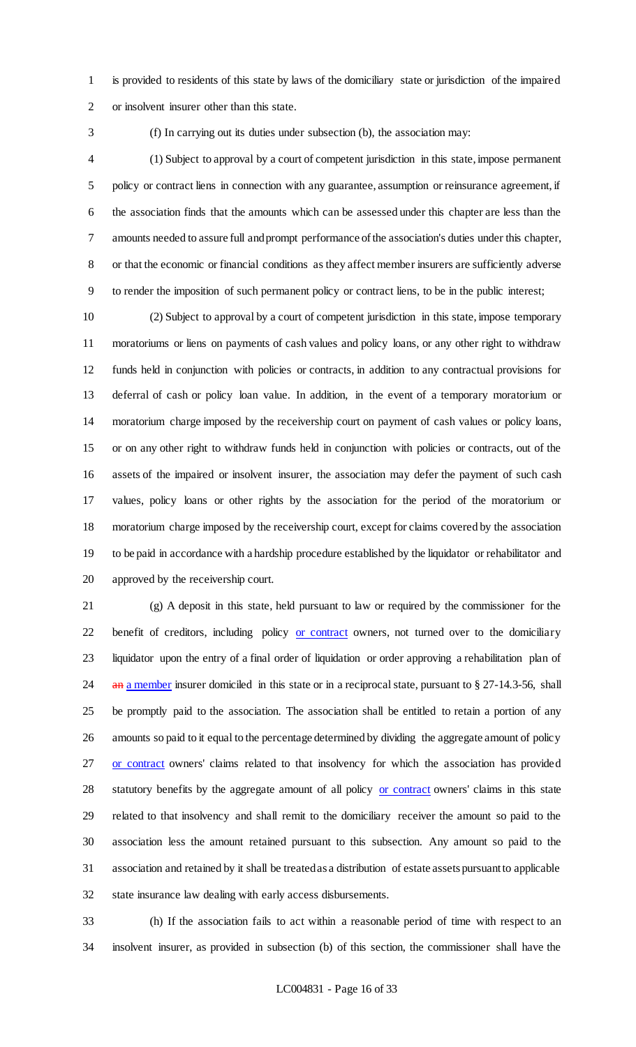is provided to residents of this state by laws of the domiciliary state or jurisdiction of the impaired or insolvent insurer other than this state.

(f) In carrying out its duties under subsection (b), the association may:

 (1) Subject to approval by a court of competent jurisdiction in this state, impose permanent policy or contract liens in connection with any guarantee, assumption or reinsurance agreement, if the association finds that the amounts which can be assessed under this chapter are less than the amounts needed to assure full and prompt performance of the association's duties under this chapter, or that the economic or financial conditions as they affect member insurers are sufficiently adverse to render the imposition of such permanent policy or contract liens, to be in the public interest;

 (2) Subject to approval by a court of competent jurisdiction in this state, impose temporary moratoriums or liens on payments of cash values and policy loans, or any other right to withdraw funds held in conjunction with policies or contracts, in addition to any contractual provisions for deferral of cash or policy loan value. In addition, in the event of a temporary moratorium or moratorium charge imposed by the receivership court on payment of cash values or policy loans, or on any other right to withdraw funds held in conjunction with policies or contracts, out of the assets of the impaired or insolvent insurer, the association may defer the payment of such cash values, policy loans or other rights by the association for the period of the moratorium or moratorium charge imposed by the receivership court, except for claims covered by the association to be paid in accordance with a hardship procedure established by the liquidator or rehabilitator and approved by the receivership court.

 (g) A deposit in this state, held pursuant to law or required by the commissioner for the 22 benefit of creditors, including policy or contract owners, not turned over to the domiciliary liquidator upon the entry of a final order of liquidation or order approving a rehabilitation plan of 24 an a member insurer domiciled in this state or in a reciprocal state, pursuant to § 27-14.3-56, shall be promptly paid to the association. The association shall be entitled to retain a portion of any amounts so paid to it equal to the percentage determined by dividing the aggregate amount of policy 27 or contract owners' claims related to that insolvency for which the association has provided 28 statutory benefits by the aggregate amount of all policy or contract owners' claims in this state related to that insolvency and shall remit to the domiciliary receiver the amount so paid to the association less the amount retained pursuant to this subsection. Any amount so paid to the association and retained by it shall be treated as a distribution of estate assets pursuant to applicable state insurance law dealing with early access disbursements.

 (h) If the association fails to act within a reasonable period of time with respect to an insolvent insurer, as provided in subsection (b) of this section, the commissioner shall have the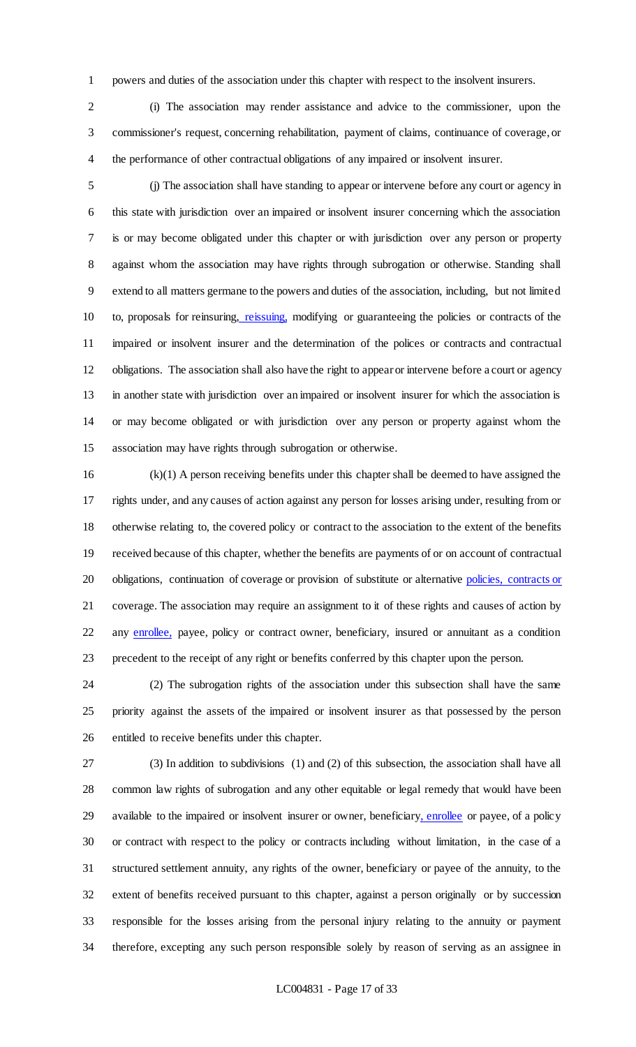powers and duties of the association under this chapter with respect to the insolvent insurers.

 (i) The association may render assistance and advice to the commissioner, upon the commissioner's request, concerning rehabilitation, payment of claims, continuance of coverage, or the performance of other contractual obligations of any impaired or insolvent insurer.

 (j) The association shall have standing to appear or intervene before any court or agency in this state with jurisdiction over an impaired or insolvent insurer concerning which the association is or may become obligated under this chapter or with jurisdiction over any person or property against whom the association may have rights through subrogation or otherwise. Standing shall extend to all matters germane to the powers and duties of the association, including, but not limited 10 to, proposals for reinsuring, reissuing, modifying or guaranteeing the policies or contracts of the 11 impaired or insolvent insurer and the determination of the polices or contracts and contractual obligations. The association shall also have the right to appear or intervene before a court or agency in another state with jurisdiction over an impaired or insolvent insurer for which the association is or may become obligated or with jurisdiction over any person or property against whom the association may have rights through subrogation or otherwise.

 (k)(1) A person receiving benefits under this chapter shall be deemed to have assigned the rights under, and any causes of action against any person for losses arising under, resulting from or otherwise relating to, the covered policy or contract to the association to the extent of the benefits received because of this chapter, whether the benefits are payments of or on account of contractual 20 obligations, continuation of coverage or provision of substitute or alternative policies, contracts or coverage. The association may require an assignment to it of these rights and causes of action by 22 any enrollee, payee, policy or contract owner, beneficiary, insured or annuitant as a condition precedent to the receipt of any right or benefits conferred by this chapter upon the person.

 (2) The subrogation rights of the association under this subsection shall have the same priority against the assets of the impaired or insolvent insurer as that possessed by the person entitled to receive benefits under this chapter.

 (3) In addition to subdivisions (1) and (2) of this subsection, the association shall have all common law rights of subrogation and any other equitable or legal remedy that would have been available to the impaired or insolvent insurer or owner, beneficiary, enrollee or payee, of a policy or contract with respect to the policy or contracts including without limitation, in the case of a structured settlement annuity, any rights of the owner, beneficiary or payee of the annuity, to the extent of benefits received pursuant to this chapter, against a person originally or by succession responsible for the losses arising from the personal injury relating to the annuity or payment therefore, excepting any such person responsible solely by reason of serving as an assignee in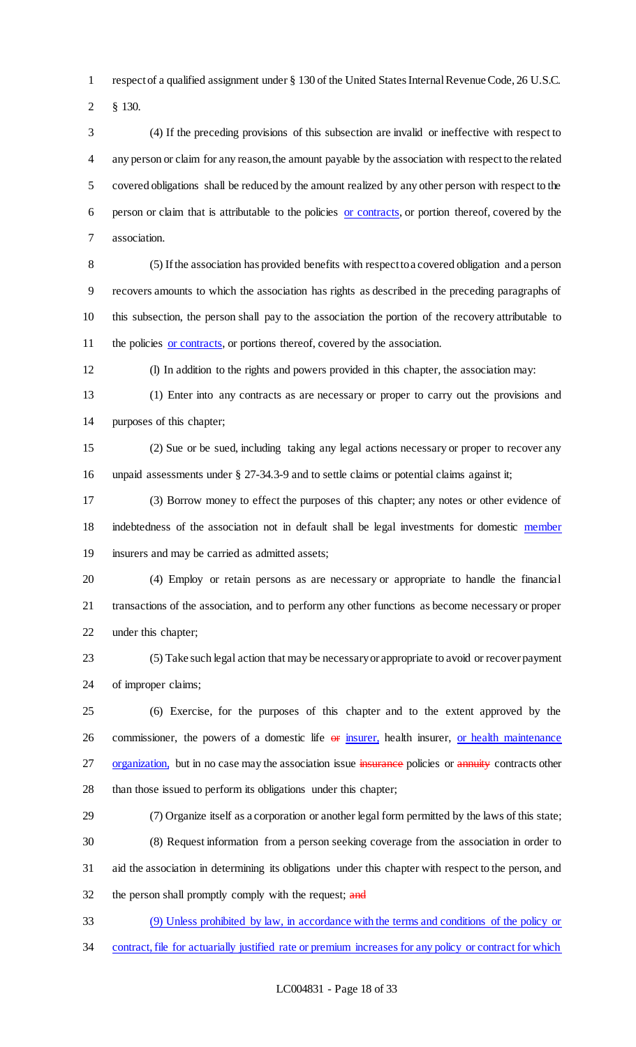respect of a qualified assignment under § 130 of the United States Internal Revenue Code, 26 U.S.C.

§ 130.

 (4) If the preceding provisions of this subsection are invalid or ineffective with respect to any person or claim for any reason, the amount payable by the association with respect to the related covered obligations shall be reduced by the amount realized by any other person with respect to the person or claim that is attributable to the policies or contracts, or portion thereof, covered by the association.

 (5) If the association has provided benefits with respect to a covered obligation and a person recovers amounts to which the association has rights as described in the preceding paragraphs of this subsection, the person shall pay to the association the portion of the recovery attributable to 11 the policies or contracts, or portions thereof, covered by the association.

(l) In addition to the rights and powers provided in this chapter, the association may:

 (1) Enter into any contracts as are necessary or proper to carry out the provisions and purposes of this chapter;

 (2) Sue or be sued, including taking any legal actions necessary or proper to recover any 16 unpaid assessments under § 27-34.3-9 and to settle claims or potential claims against it;

 (3) Borrow money to effect the purposes of this chapter; any notes or other evidence of indebtedness of the association not in default shall be legal investments for domestic member insurers and may be carried as admitted assets;

 (4) Employ or retain persons as are necessary or appropriate to handle the financial transactions of the association, and to perform any other functions as become necessary or proper under this chapter;

 (5) Take such legal action that may be necessary or appropriate to avoid or recover payment of improper claims;

 (6) Exercise, for the purposes of this chapter and to the extent approved by the 26 commissioner, the powers of a domestic life  $\Theta$  insurer, health insurer, or health maintenance 27 organization, but in no case may the association issue insurance policies or annuity contracts other than those issued to perform its obligations under this chapter;

 (7) Organize itself as a corporation or another legal form permitted by the laws of this state; (8) Request information from a person seeking coverage from the association in order to aid the association in determining its obligations under this chapter with respect to the person, and 32 the person shall promptly comply with the request; and

 (9) Unless prohibited by law, in accordance with the terms and conditions of the policy or contract, file for actuarially justified rate or premium increases for any policy or contract for which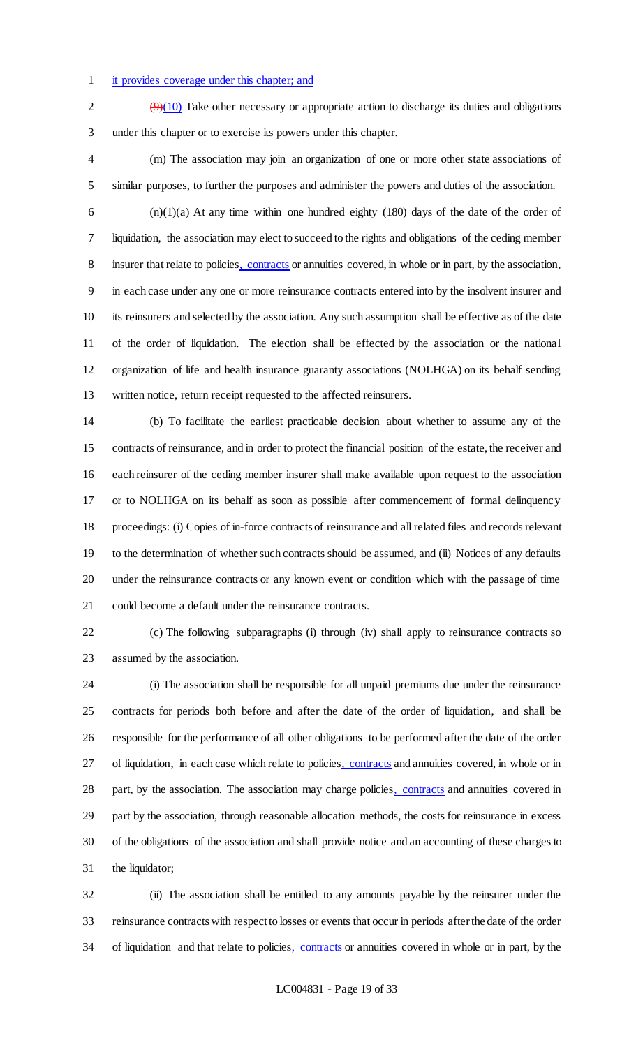### it provides coverage under this chapter; and

 $\sqrt{9(10)}$  Take other necessary or appropriate action to discharge its duties and obligations under this chapter or to exercise its powers under this chapter.

 (m) The association may join an organization of one or more other state associations of similar purposes, to further the purposes and administer the powers and duties of the association.

 $(n)(1)(a)$  At any time within one hundred eighty (180) days of the date of the order of liquidation, the association may elect to succeed to the rights and obligations of the ceding member 8 insurer that relate to policies, contracts or annuities covered, in whole or in part, by the association, in each case under any one or more reinsurance contracts entered into by the insolvent insurer and its reinsurers and selected by the association. Any such assumption shall be effective as of the date of the order of liquidation. The election shall be effected by the association or the national organization of life and health insurance guaranty associations (NOLHGA) on its behalf sending written notice, return receipt requested to the affected reinsurers.

 (b) To facilitate the earliest practicable decision about whether to assume any of the contracts of reinsurance, and in order to protect the financial position of the estate, the receiver and each reinsurer of the ceding member insurer shall make available upon request to the association or to NOLHGA on its behalf as soon as possible after commencement of formal delinquency proceedings: (i) Copies of in-force contracts of reinsurance and all related files and records relevant to the determination of whether such contracts should be assumed, and (ii) Notices of any defaults under the reinsurance contracts or any known event or condition which with the passage of time could become a default under the reinsurance contracts.

 (c) The following subparagraphs (i) through (iv) shall apply to reinsurance contracts so assumed by the association.

 (i) The association shall be responsible for all unpaid premiums due under the reinsurance contracts for periods both before and after the date of the order of liquidation, and shall be responsible for the performance of all other obligations to be performed after the date of the order 27 of liquidation, in each case which relate to policies, contracts and annuities covered, in whole or in 28 part, by the association. The association may charge policies, contracts and annuities covered in part by the association, through reasonable allocation methods, the costs for reinsurance in excess of the obligations of the association and shall provide notice and an accounting of these charges to the liquidator;

 (ii) The association shall be entitled to any amounts payable by the reinsurer under the reinsurance contracts with respect to losses or events that occur in periods after the date of the order 34 of liquidation and that relate to policies, contracts or annuities covered in whole or in part, by the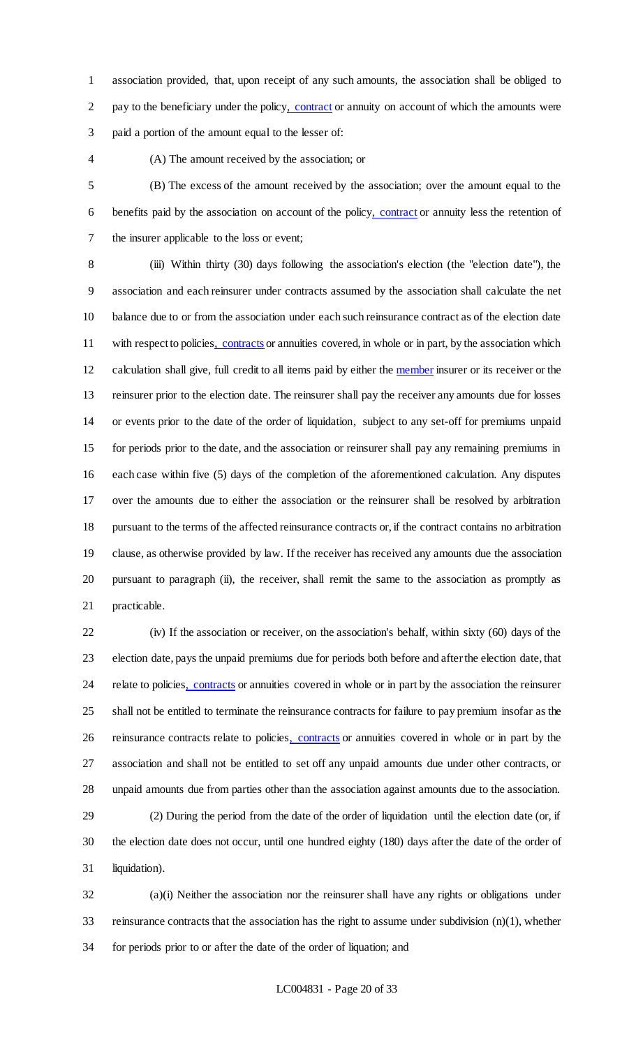association provided, that, upon receipt of any such amounts, the association shall be obliged to 2 pay to the beneficiary under the policy, contract or annuity on account of which the amounts were paid a portion of the amount equal to the lesser of:

### (A) The amount received by the association; or

 (B) The excess of the amount received by the association; over the amount equal to the benefits paid by the association on account of the policy, contract or annuity less the retention of the insurer applicable to the loss or event;

 (iii) Within thirty (30) days following the association's election (the "election date"), the association and each reinsurer under contracts assumed by the association shall calculate the net balance due to or from the association under each such reinsurance contract as of the election date 11 with respect to policies, contracts or annuities covered, in whole or in part, by the association which calculation shall give, full credit to all items paid by either the member insurer or its receiver or the reinsurer prior to the election date. The reinsurer shall pay the receiver any amounts due for losses or events prior to the date of the order of liquidation, subject to any set-off for premiums unpaid for periods prior to the date, and the association or reinsurer shall pay any remaining premiums in each case within five (5) days of the completion of the aforementioned calculation. Any disputes over the amounts due to either the association or the reinsurer shall be resolved by arbitration pursuant to the terms of the affected reinsurance contracts or, if the contract contains no arbitration clause, as otherwise provided by law. If the receiver has received any amounts due the association pursuant to paragraph (ii), the receiver, shall remit the same to the association as promptly as practicable.

 (iv) If the association or receiver, on the association's behalf, within sixty (60) days of the election date, pays the unpaid premiums due for periods both before and after the election date, that 24 relate to policies, contracts or annuities covered in whole or in part by the association the reinsurer shall not be entitled to terminate the reinsurance contracts for failure to pay premium insofar as the reinsurance contracts relate to policies, contracts or annuities covered in whole or in part by the association and shall not be entitled to set off any unpaid amounts due under other contracts, or unpaid amounts due from parties other than the association against amounts due to the association.

 (2) During the period from the date of the order of liquidation until the election date (or, if the election date does not occur, until one hundred eighty (180) days after the date of the order of liquidation).

 (a)(i) Neither the association nor the reinsurer shall have any rights or obligations under reinsurance contracts that the association has the right to assume under subdivision (n)(1), whether for periods prior to or after the date of the order of liquation; and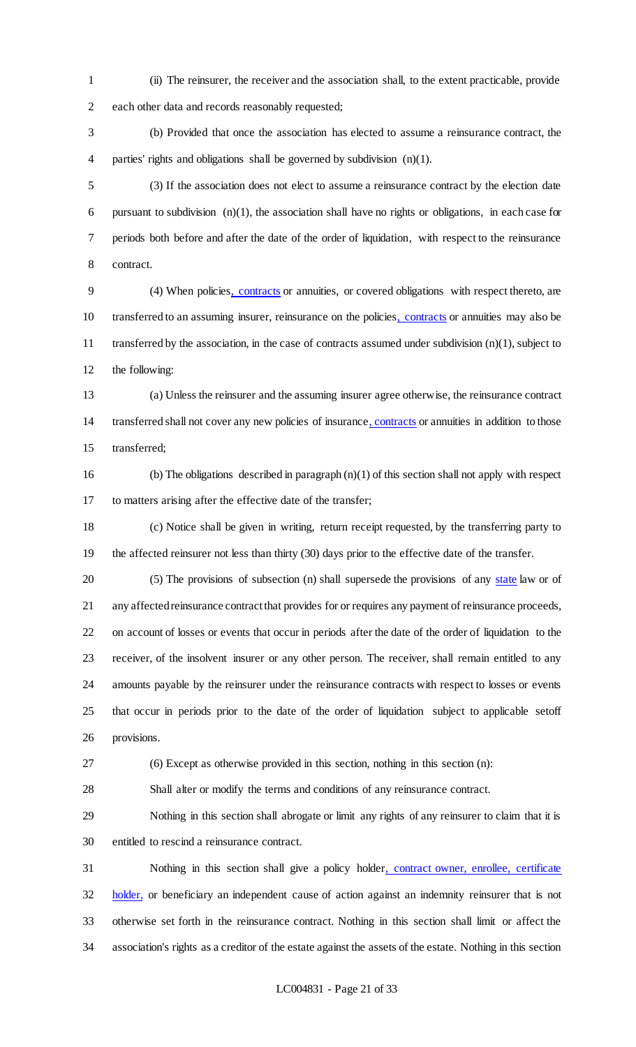(ii) The reinsurer, the receiver and the association shall, to the extent practicable, provide each other data and records reasonably requested;

 (b) Provided that once the association has elected to assume a reinsurance contract, the parties' rights and obligations shall be governed by subdivision (n)(1).

 (3) If the association does not elect to assume a reinsurance contract by the election date pursuant to subdivision (n)(1), the association shall have no rights or obligations, in each case for periods both before and after the date of the order of liquidation, with respect to the reinsurance contract.

 (4) When policies, contracts or annuities, or covered obligations with respect thereto, are transferred to an assuming insurer, reinsurance on the policies, contracts or annuities may also be transferred by the association, in the case of contracts assumed under subdivision (n)(1), subject to the following:

 (a) Unless the reinsurer and the assuming insurer agree otherwise, the reinsurance contract transferred shall not cover any new policies of insurance, contracts or annuities in addition to those transferred;

16 (b) The obligations described in paragraph  $(n)(1)$  of this section shall not apply with respect to matters arising after the effective date of the transfer;

 (c) Notice shall be given in writing, return receipt requested, by the transferring party to the affected reinsurer not less than thirty (30) days prior to the effective date of the transfer.

20 (5) The provisions of subsection (n) shall supersede the provisions of any state law or of any affected reinsurance contract that provides for or requires any payment of reinsurance proceeds, on account of losses or events that occur in periods after the date of the order of liquidation to the receiver, of the insolvent insurer or any other person. The receiver, shall remain entitled to any amounts payable by the reinsurer under the reinsurance contracts with respect to losses or events that occur in periods prior to the date of the order of liquidation subject to applicable setoff provisions.

(6) Except as otherwise provided in this section, nothing in this section (n):

Shall alter or modify the terms and conditions of any reinsurance contract.

 Nothing in this section shall abrogate or limit any rights of any reinsurer to claim that it is entitled to rescind a reinsurance contract.

 Nothing in this section shall give a policy holder, contract owner, enrollee, certificate holder, or beneficiary an independent cause of action against an indemnity reinsurer that is not otherwise set forth in the reinsurance contract. Nothing in this section shall limit or affect the association's rights as a creditor of the estate against the assets of the estate. Nothing in this section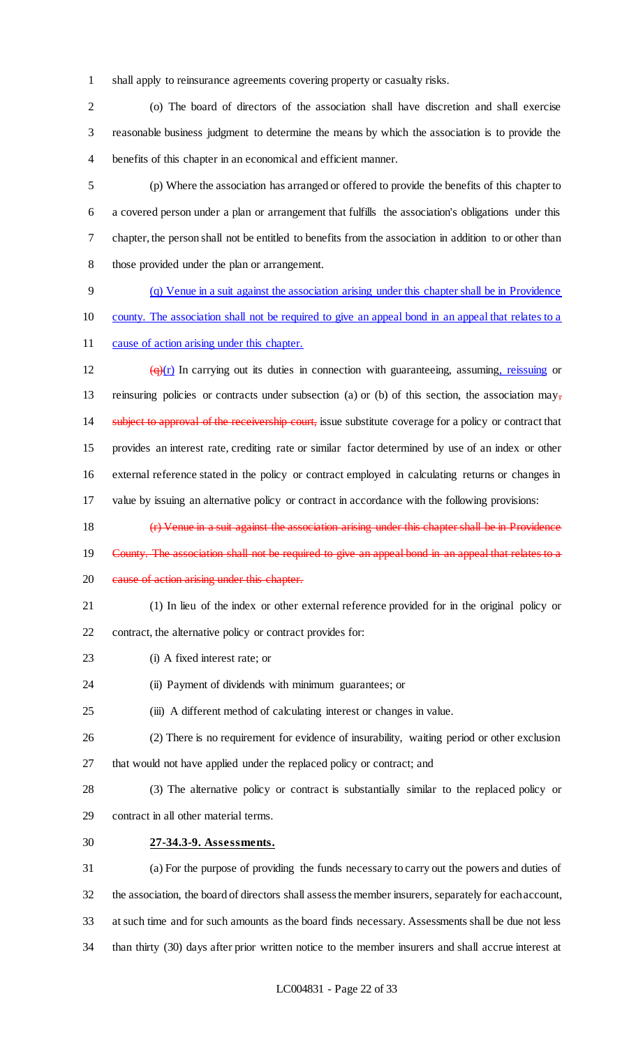shall apply to reinsurance agreements covering property or casualty risks.

 (o) The board of directors of the association shall have discretion and shall exercise reasonable business judgment to determine the means by which the association is to provide the benefits of this chapter in an economical and efficient manner.

 (p) Where the association has arranged or offered to provide the benefits of this chapter to a covered person under a plan or arrangement that fulfills the association's obligations under this chapter, the person shall not be entitled to benefits from the association in addition to or other than those provided under the plan or arrangement.

 (q) Venue in a suit against the association arising under this chapter shall be in Providence county. The association shall not be required to give an appeal bond in an appeal that relates to a

cause of action arising under this chapter.

 $\left(\frac{q}{r}\right)$  In carrying out its duties in connection with guaranteeing, assuming, reissuing or 13 reinsuring policies or contracts under subsection (a) or (b) of this section, the association may, 14 subject to approval of the receivership court, issue substitute coverage for a policy or contract that provides an interest rate, crediting rate or similar factor determined by use of an index or other external reference stated in the policy or contract employed in calculating returns or changes in value by issuing an alternative policy or contract in accordance with the following provisions:

(r) Venue in a suit against the association arising under this chapter shall be in Providence

- County. The association shall not be required to give an appeal bond in an appeal that relates to a
- 20 eause of action arising under this chapter.
- (1) In lieu of the index or other external reference provided for in the original policy or

contract, the alternative policy or contract provides for:

- (i) A fixed interest rate; or
- (ii) Payment of dividends with minimum guarantees; or
- (iii) A different method of calculating interest or changes in value.
- (2) There is no requirement for evidence of insurability, waiting period or other exclusion that would not have applied under the replaced policy or contract; and
- (3) The alternative policy or contract is substantially similar to the replaced policy or contract in all other material terms.
- 
- **27-34.3-9. Assessments.**

 (a) For the purpose of providing the funds necessary to carry out the powers and duties of the association, the board of directors shall assess the member insurers, separately for each account, at such time and for such amounts as the board finds necessary. Assessments shall be due not less than thirty (30) days after prior written notice to the member insurers and shall accrue interest at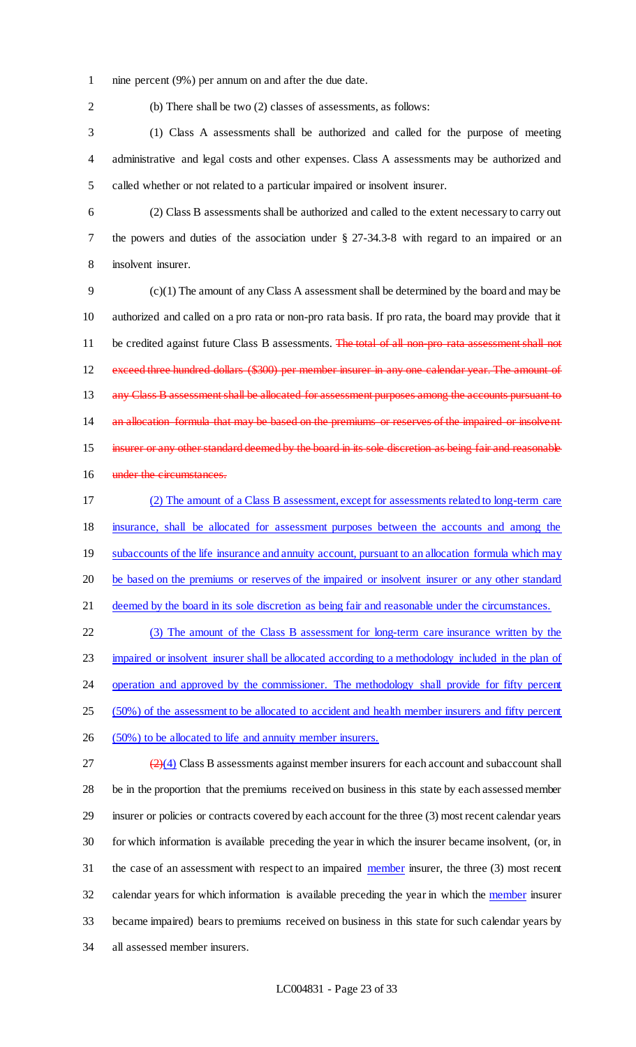- 1 nine percent (9%) per annum on and after the due date.
- 

2 (b) There shall be two (2) classes of assessments, as follows:

3 (1) Class A assessments shall be authorized and called for the purpose of meeting 4 administrative and legal costs and other expenses. Class A assessments may be authorized and 5 called whether or not related to a particular impaired or insolvent insurer.

6 (2) Class B assessments shall be authorized and called to the extent necessary to carry out 7 the powers and duties of the association under § 27-34.3-8 with regard to an impaired or an 8 insolvent insurer.

9 (c)(1) The amount of any Class A assessment shall be determined by the board and may be 10 authorized and called on a pro rata or non-pro rata basis. If pro rata, the board may provide that it 11 be credited against future Class B assessments. The total of all non-pro-rata assessment shall not 12 exceed three hundred dollars (\$300) per member insurer in any one calendar year. The amount of 13 any Class B assessment shall be allocated for assessment purposes among the accounts pursuant to 14 an allocation formula that may be based on the premiums or reserves of the impaired or insolvent 15 insurer or any other standard deemed by the board in its sole discretion as being fair and reasonable 16 under the circumstances.

17 (2) The amount of a Class B assessment, except for assessments related to long-term care 18 insurance, shall be allocated for assessment purposes between the accounts and among the 19 subaccounts of the life insurance and annuity account, pursuant to an allocation formula which may 20 be based on the premiums or reserves of the impaired or insolvent insurer or any other standard 21 deemed by the board in its sole discretion as being fair and reasonable under the circumstances.

22 (3) The amount of the Class B assessment for long-term care insurance written by the 23 impaired or insolvent insurer shall be allocated according to a methodology included in the plan of 24 operation and approved by the commissioner. The methodology shall provide for fifty percent 25 (50%) of the assessment to be allocated to accident and health member insurers and fifty percent 26 (50%) to be allocated to life and annuity member insurers.

 $\left( \frac{2}{4} \right)$  Class B assessments against member insurers for each account and subaccount shall be in the proportion that the premiums received on business in this state by each assessed member insurer or policies or contracts covered by each account for the three (3) most recent calendar years for which information is available preceding the year in which the insurer became insolvent, (or, in 31 the case of an assessment with respect to an impaired member insurer, the three (3) most recent 32 calendar years for which information is available preceding the year in which the member insurer became impaired) bears to premiums received on business in this state for such calendar years by all assessed member insurers.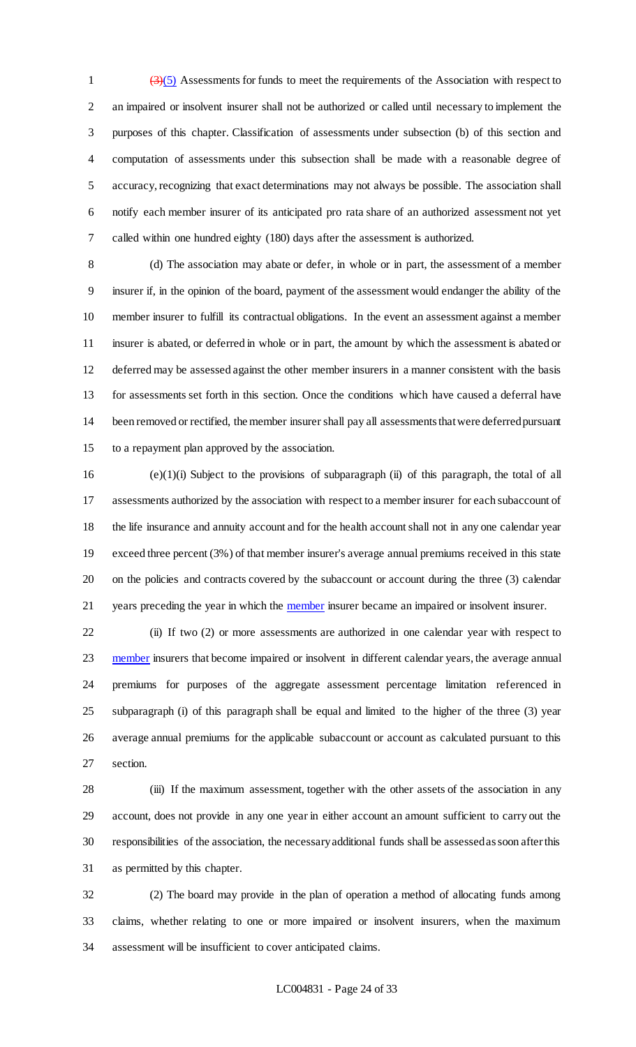$\left(\frac{3}{5}\right)$  Assessments for funds to meet the requirements of the Association with respect to an impaired or insolvent insurer shall not be authorized or called until necessary to implement the purposes of this chapter. Classification of assessments under subsection (b) of this section and computation of assessments under this subsection shall be made with a reasonable degree of accuracy, recognizing that exact determinations may not always be possible. The association shall notify each member insurer of its anticipated pro rata share of an authorized assessment not yet called within one hundred eighty (180) days after the assessment is authorized.

 (d) The association may abate or defer, in whole or in part, the assessment of a member insurer if, in the opinion of the board, payment of the assessment would endanger the ability of the member insurer to fulfill its contractual obligations. In the event an assessment against a member insurer is abated, or deferred in whole or in part, the amount by which the assessment is abated or deferred may be assessed against the other member insurers in a manner consistent with the basis for assessments set forth in this section. Once the conditions which have caused a deferral have been removed or rectified, the member insurer shall pay all assessments that were deferred pursuant to a repayment plan approved by the association.

 (e)(1)(i) Subject to the provisions of subparagraph (ii) of this paragraph, the total of all assessments authorized by the association with respect to a member insurer for each subaccount of the life insurance and annuity account and for the health account shall not in any one calendar year exceed three percent (3%) of that member insurer's average annual premiums received in this state on the policies and contracts covered by the subaccount or account during the three (3) calendar 21 years preceding the year in which the **member** insurer became an impaired or insolvent insurer.

 (ii) If two (2) or more assessments are authorized in one calendar year with respect to 23 member insurers that become impaired or insolvent in different calendar years, the average annual premiums for purposes of the aggregate assessment percentage limitation referenced in subparagraph (i) of this paragraph shall be equal and limited to the higher of the three (3) year average annual premiums for the applicable subaccount or account as calculated pursuant to this section.

28 (iii) If the maximum assessment, together with the other assets of the association in any account, does not provide in any one year in either account an amount sufficient to carry out the responsibilities of the association, the necessary additional funds shall be assessed as soon after this as permitted by this chapter.

 (2) The board may provide in the plan of operation a method of allocating funds among claims, whether relating to one or more impaired or insolvent insurers, when the maximum assessment will be insufficient to cover anticipated claims.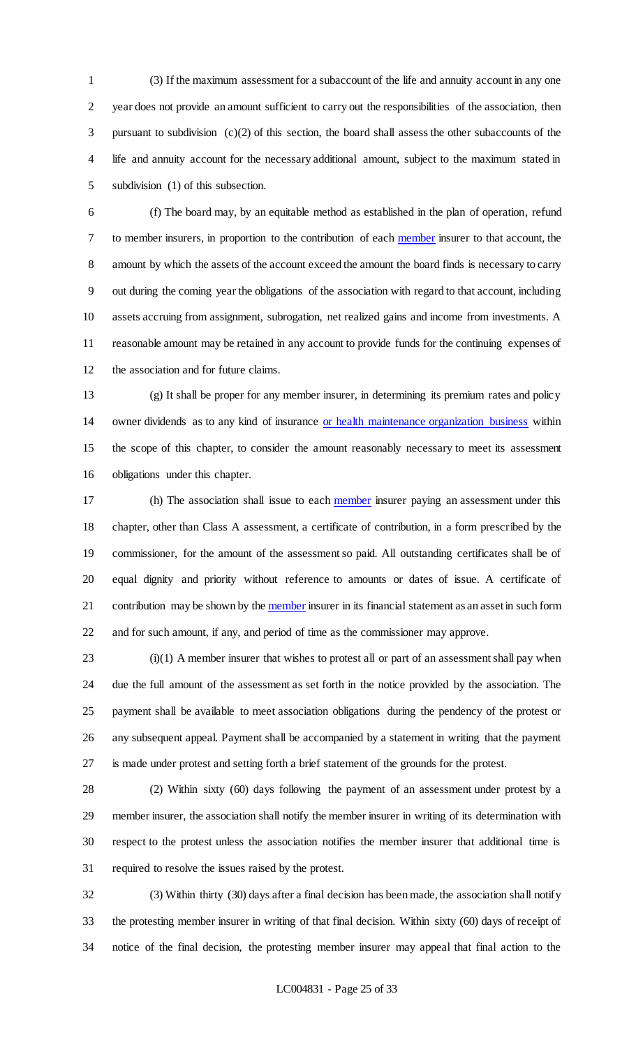(3) If the maximum assessment for a subaccount of the life and annuity account in any one year does not provide an amount sufficient to carry out the responsibilities of the association, then pursuant to subdivision (c)(2) of this section, the board shall assess the other subaccounts of the life and annuity account for the necessary additional amount, subject to the maximum stated in subdivision (1) of this subsection.

 (f) The board may, by an equitable method as established in the plan of operation, refund to member insurers, in proportion to the contribution of each member insurer to that account, the amount by which the assets of the account exceed the amount the board finds is necessary to carry out during the coming year the obligations of the association with regard to that account, including assets accruing from assignment, subrogation, net realized gains and income from investments. A reasonable amount may be retained in any account to provide funds for the continuing expenses of the association and for future claims.

 (g) It shall be proper for any member insurer, in determining its premium rates and policy owner dividends as to any kind of insurance or health maintenance organization business within the scope of this chapter, to consider the amount reasonably necessary to meet its assessment obligations under this chapter.

17 (h) The association shall issue to each member insurer paying an assessment under this chapter, other than Class A assessment, a certificate of contribution, in a form prescribed by the commissioner, for the amount of the assessment so paid. All outstanding certificates shall be of equal dignity and priority without reference to amounts or dates of issue. A certificate of 21 contribution may be shown by the member insurer in its financial statement as an asset in such form and for such amount, if any, and period of time as the commissioner may approve.

 (i)(1) A member insurer that wishes to protest all or part of an assessment shall pay when due the full amount of the assessment as set forth in the notice provided by the association. The payment shall be available to meet association obligations during the pendency of the protest or any subsequent appeal. Payment shall be accompanied by a statement in writing that the payment is made under protest and setting forth a brief statement of the grounds for the protest.

 (2) Within sixty (60) days following the payment of an assessment under protest by a member insurer, the association shall notify the member insurer in writing of its determination with respect to the protest unless the association notifies the member insurer that additional time is required to resolve the issues raised by the protest.

 (3) Within thirty (30) days after a final decision has been made, the association shall notify the protesting member insurer in writing of that final decision. Within sixty (60) days of receipt of notice of the final decision, the protesting member insurer may appeal that final action to the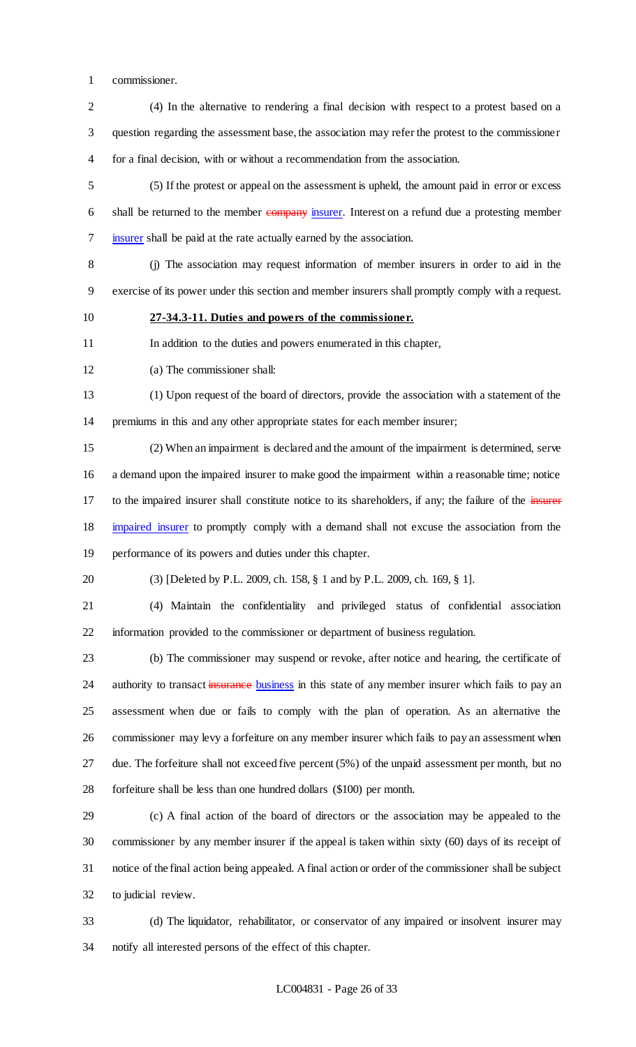commissioner.

 (4) In the alternative to rendering a final decision with respect to a protest based on a question regarding the assessment base, the association may refer the protest to the commissioner for a final decision, with or without a recommendation from the association.

 (5) If the protest or appeal on the assessment is upheld, the amount paid in error or excess 6 shall be returned to the member company insurer. Interest on a refund due a protesting member insurer shall be paid at the rate actually earned by the association.

 (j) The association may request information of member insurers in order to aid in the exercise of its power under this section and member insurers shall promptly comply with a request.

**27-34.3-11. Duties and powers of the commissioner.**

In addition to the duties and powers enumerated in this chapter,

(a) The commissioner shall:

 (1) Upon request of the board of directors, provide the association with a statement of the premiums in this and any other appropriate states for each member insurer;

 (2) When an impairment is declared and the amount of the impairment is determined, serve a demand upon the impaired insurer to make good the impairment within a reasonable time; notice 17 to the impaired insurer shall constitute notice to its shareholders, if any; the failure of the insurer impaired insurer to promptly comply with a demand shall not excuse the association from the performance of its powers and duties under this chapter.

(3) [Deleted by P.L. 2009, ch. 158, § 1 and by P.L. 2009, ch. 169, § 1].

 (4) Maintain the confidentiality and privileged status of confidential association information provided to the commissioner or department of business regulation.

 (b) The commissioner may suspend or revoke, after notice and hearing, the certificate of 24 authority to transact insurance business in this state of any member insurer which fails to pay an assessment when due or fails to comply with the plan of operation. As an alternative the commissioner may levy a forfeiture on any member insurer which fails to pay an assessment when due. The forfeiture shall not exceed five percent (5%) of the unpaid assessment per month, but no forfeiture shall be less than one hundred dollars (\$100) per month.

 (c) A final action of the board of directors or the association may be appealed to the commissioner by any member insurer if the appeal is taken within sixty (60) days of its receipt of notice of the final action being appealed. A final action or order of the commissioner shall be subject to judicial review.

 (d) The liquidator, rehabilitator, or conservator of any impaired or insolvent insurer may notify all interested persons of the effect of this chapter.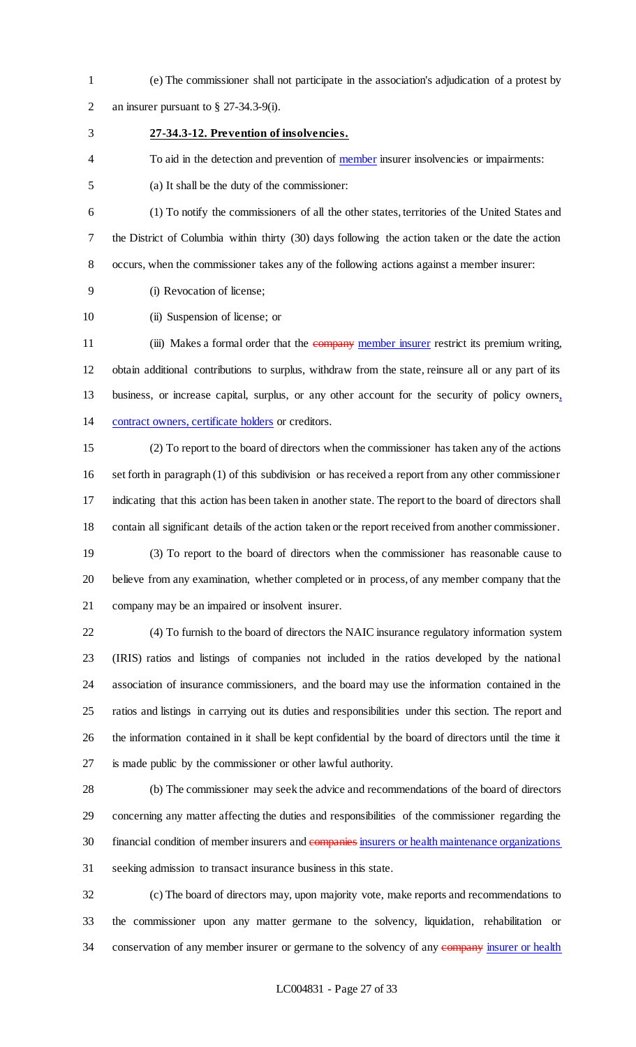(e) The commissioner shall not participate in the association's adjudication of a protest by an insurer pursuant to § 27-34.3-9(i).

## **27-34.3-12. Prevention of insolvencies.**

4 To aid in the detection and prevention of member insurer insolvencies or impairments:

(a) It shall be the duty of the commissioner:

 (1) To notify the commissioners of all the other states, territories of the United States and the District of Columbia within thirty (30) days following the action taken or the date the action occurs, when the commissioner takes any of the following actions against a member insurer:

(i) Revocation of license;

10 (ii) Suspension of license; or

11 (iii) Makes a formal order that the company member insurer restrict its premium writing, obtain additional contributions to surplus, withdraw from the state, reinsure all or any part of its business, or increase capital, surplus, or any other account for the security of policy owners, contract owners, certificate holders or creditors.

 (2) To report to the board of directors when the commissioner has taken any of the actions set forth in paragraph (1) of this subdivision or has received a report from any other commissioner indicating that this action has been taken in another state. The report to the board of directors shall contain all significant details of the action taken or the report received from another commissioner.

 (3) To report to the board of directors when the commissioner has reasonable cause to believe from any examination, whether completed or in process, of any member company that the company may be an impaired or insolvent insurer.

 (4) To furnish to the board of directors the NAIC insurance regulatory information system (IRIS) ratios and listings of companies not included in the ratios developed by the national association of insurance commissioners, and the board may use the information contained in the ratios and listings in carrying out its duties and responsibilities under this section. The report and the information contained in it shall be kept confidential by the board of directors until the time it is made public by the commissioner or other lawful authority.

 (b) The commissioner may seek the advice and recommendations of the board of directors concerning any matter affecting the duties and responsibilities of the commissioner regarding the 30 financial condition of member insurers and companies insurers or health maintenance organizations seeking admission to transact insurance business in this state.

 (c) The board of directors may, upon majority vote, make reports and recommendations to the commissioner upon any matter germane to the solvency, liquidation, rehabilitation or 34 conservation of any member insurer or germane to the solvency of any company insurer or health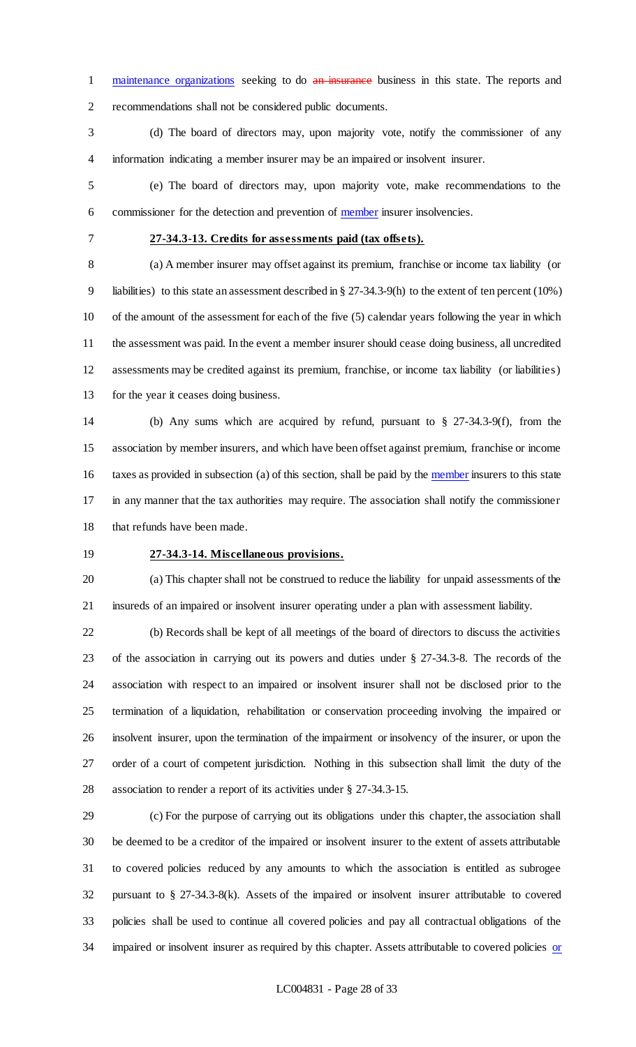1 maintenance organizations seeking to do an insurance business in this state. The reports and recommendations shall not be considered public documents.

 (d) The board of directors may, upon majority vote, notify the commissioner of any information indicating a member insurer may be an impaired or insolvent insurer.

 (e) The board of directors may, upon majority vote, make recommendations to the 6 commissioner for the detection and prevention of member insurer insolvencies.

### **27-34.3-13. Credits for assessments paid (tax offsets).**

 (a) A member insurer may offset against its premium, franchise or income tax liability (or liabilities) to this state an assessment described in § 27-34.3-9(h) to the extent of ten percent (10%) of the amount of the assessment for each of the five (5) calendar years following the year in which the assessment was paid. In the event a member insurer should cease doing business, all uncredited assessments may be credited against its premium, franchise, or income tax liability (or liabilities) for the year it ceases doing business.

 (b) Any sums which are acquired by refund, pursuant to § 27-34.3-9(f), from the association by member insurers, and which have been offset against premium, franchise or income 16 taxes as provided in subsection (a) of this section, shall be paid by the member insurers to this state in any manner that the tax authorities may require. The association shall notify the commissioner that refunds have been made.

### **27-34.3-14. Miscellaneous provisions.**

 (a) This chapter shall not be construed to reduce the liability for unpaid assessments of the insureds of an impaired or insolvent insurer operating under a plan with assessment liability.

 (b) Records shall be kept of all meetings of the board of directors to discuss the activities of the association in carrying out its powers and duties under § 27-34.3-8. The records of the association with respect to an impaired or insolvent insurer shall not be disclosed prior to the termination of a liquidation, rehabilitation or conservation proceeding involving the impaired or insolvent insurer, upon the termination of the impairment or insolvency of the insurer, or upon the order of a court of competent jurisdiction. Nothing in this subsection shall limit the duty of the association to render a report of its activities under § 27-34.3-15.

 (c) For the purpose of carrying out its obligations under this chapter, the association shall be deemed to be a creditor of the impaired or insolvent insurer to the extent of assets attributable to covered policies reduced by any amounts to which the association is entitled as subrogee pursuant to § 27-34.3-8(k). Assets of the impaired or insolvent insurer attributable to covered policies shall be used to continue all covered policies and pay all contractual obligations of the 34 impaired or insolvent insurer as required by this chapter. Assets attributable to covered policies or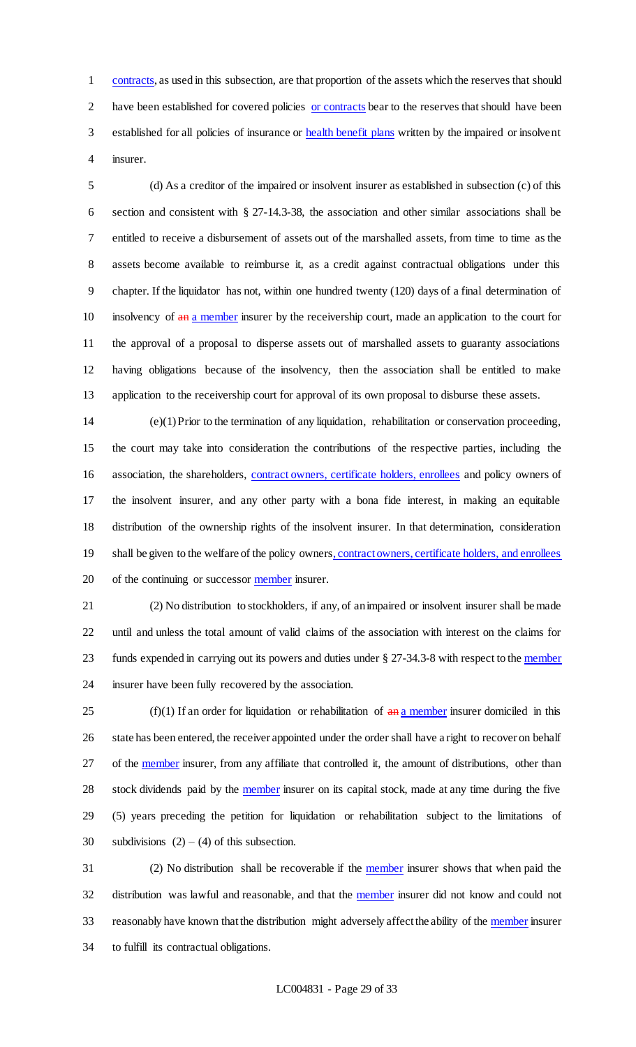contracts, as used in this subsection, are that proportion of the assets which the reserves that should have been established for covered policies or contracts bear to the reserves that should have been 3 established for all policies of insurance or health benefit plans written by the impaired or insolvent insurer.

 (d) As a creditor of the impaired or insolvent insurer as established in subsection (c) of this section and consistent with § 27-14.3-38, the association and other similar associations shall be entitled to receive a disbursement of assets out of the marshalled assets, from time to time as the assets become available to reimburse it, as a credit against contractual obligations under this chapter. If the liquidator has not, within one hundred twenty (120) days of a final determination of 10 insolvency of  $\frac{a_n}{b_n}$  a member insurer by the receivership court, made an application to the court for the approval of a proposal to disperse assets out of marshalled assets to guaranty associations having obligations because of the insolvency, then the association shall be entitled to make application to the receivership court for approval of its own proposal to disburse these assets.

 (e)(1) Prior to the termination of any liquidation, rehabilitation or conservation proceeding, the court may take into consideration the contributions of the respective parties, including the association, the shareholders, contract owners, certificate holders, enrollees and policy owners of the insolvent insurer, and any other party with a bona fide interest, in making an equitable distribution of the ownership rights of the insolvent insurer. In that determination, consideration 19 shall be given to the welfare of the policy owners, contract owners, certificate holders, and enrollees 20 of the continuing or successor member insurer.

 (2) No distribution to stockholders, if any, of an impaired or insolvent insurer shall be made until and unless the total amount of valid claims of the association with interest on the claims for 23 funds expended in carrying out its powers and duties under § 27-34.3-8 with respect to the member insurer have been fully recovered by the association.

25 (f)(1) If an order for liquidation or rehabilitation of  $\frac{a_n}{a_n}$  member insurer domiciled in this 26 state has been entered, the receiver appointed under the order shall have a right to recover on behalf 27 of the member insurer, from any affiliate that controlled it, the amount of distributions, other than 28 stock dividends paid by the member insurer on its capital stock, made at any time during the five (5) years preceding the petition for liquidation or rehabilitation subject to the limitations of 30 subdivisions  $(2) - (4)$  of this subsection.

 (2) No distribution shall be recoverable if the member insurer shows that when paid the distribution was lawful and reasonable, and that the member insurer did not know and could not 33 reasonably have known that the distribution might adversely affect the ability of the member insurer to fulfill its contractual obligations.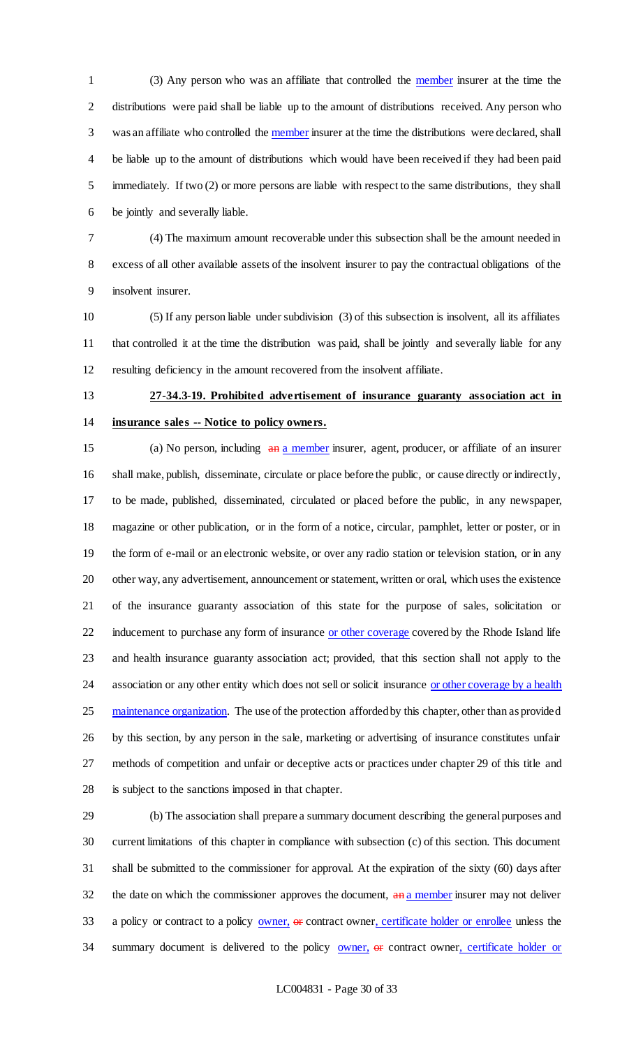(3) Any person who was an affiliate that controlled the member insurer at the time the distributions were paid shall be liable up to the amount of distributions received. Any person who 3 was an affiliate who controlled the member insurer at the time the distributions were declared, shall be liable up to the amount of distributions which would have been received if they had been paid immediately. If two (2) or more persons are liable with respect to the same distributions, they shall be jointly and severally liable.

 (4) The maximum amount recoverable under this subsection shall be the amount needed in excess of all other available assets of the insolvent insurer to pay the contractual obligations of the insolvent insurer.

 (5) If any person liable under subdivision (3) of this subsection is insolvent, all its affiliates that controlled it at the time the distribution was paid, shall be jointly and severally liable for any resulting deficiency in the amount recovered from the insolvent affiliate.

# **27-34.3-19. Prohibited advertisement of insurance guaranty association act in insurance sales -- Notice to policy owners.**

15 (a) No person, including  $\frac{a_n}{a_n}$  member insurer, agent, producer, or affiliate of an insurer shall make, publish, disseminate, circulate or place before the public, or cause directly or indirectly, to be made, published, disseminated, circulated or placed before the public, in any newspaper, magazine or other publication, or in the form of a notice, circular, pamphlet, letter or poster, or in the form of e-mail or an electronic website, or over any radio station or television station, or in any other way, any advertisement, announcement or statement, written or oral, which uses the existence of the insurance guaranty association of this state for the purpose of sales, solicitation or 22 inducement to purchase any form of insurance or other coverage covered by the Rhode Island life and health insurance guaranty association act; provided, that this section shall not apply to the 24 association or any other entity which does not sell or solicit insurance or other coverage by a health 25 maintenance organization. The use of the protection afforded by this chapter, other than as provided by this section, by any person in the sale, marketing or advertising of insurance constitutes unfair methods of competition and unfair or deceptive acts or practices under chapter 29 of this title and is subject to the sanctions imposed in that chapter.

 (b) The association shall prepare a summary document describing the general purposes and current limitations of this chapter in compliance with subsection (c) of this section. This document shall be submitted to the commissioner for approval. At the expiration of the sixty (60) days after 32 the date on which the commissioner approves the document, and a member insurer may not deliver 33 a policy or contract to a policy owner, or contract owner, certificate holder or enrollee unless the 34 summary document is delivered to the policy **owner**, or contract owner, certificate holder or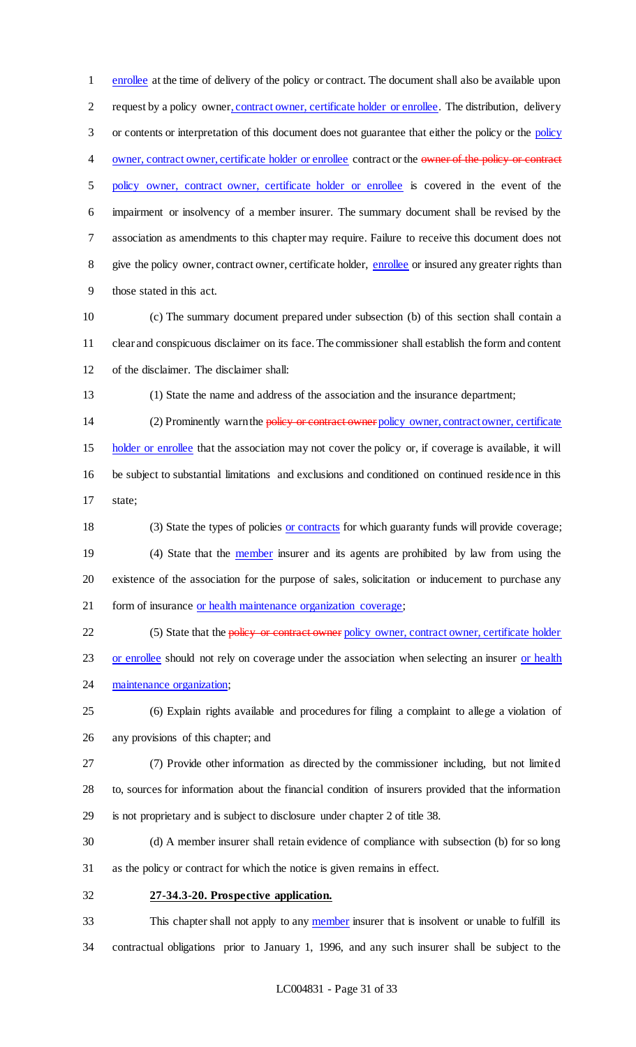enrollee at the time of delivery of the policy or contract. The document shall also be available upon request by a policy owner, contract owner, certificate holder or enrollee. The distribution, delivery or contents or interpretation of this document does not guarantee that either the policy or the policy 4 owner, contract owner, certificate holder or enrollee contract or the owner of the policy or contract policy owner, contract owner, certificate holder or enrollee is covered in the event of the impairment or insolvency of a member insurer. The summary document shall be revised by the association as amendments to this chapter may require. Failure to receive this document does not 8 give the policy owner, contract owner, certificate holder, enrollee or insured any greater rights than those stated in this act.

- (c) The summary document prepared under subsection (b) of this section shall contain a clear and conspicuous disclaimer on its face. The commissioner shall establish the form and content of the disclaimer. The disclaimer shall:
- 

(1) State the name and address of the association and the insurance department;

14 (2) Prominently warn the policy or contract owner policy owner, contract owner, certificate holder or enrollee that the association may not cover the policy or, if coverage is available, it will be subject to substantial limitations and exclusions and conditioned on continued residence in this state;

 (3) State the types of policies or contracts for which guaranty funds will provide coverage; 19 (4) State that the **member** insurer and its agents are prohibited by law from using the existence of the association for the purpose of sales, solicitation or inducement to purchase any 21 form of insurance or health maintenance organization coverage;

22 (5) State that the policy or contract owner policy owner, contract owner, certificate holder

23 or enrollee should not rely on coverage under the association when selecting an insurer or health 24 maintenance organization;

 (6) Explain rights available and procedures for filing a complaint to allege a violation of any provisions of this chapter; and

 (7) Provide other information as directed by the commissioner including, but not limited to, sources for information about the financial condition of insurers provided that the information is not proprietary and is subject to disclosure under chapter 2 of title 38.

 (d) A member insurer shall retain evidence of compliance with subsection (b) for so long as the policy or contract for which the notice is given remains in effect.

**27-34.3-20. Prospective application.**

33 This chapter shall not apply to any member insurer that is insolvent or unable to fulfill its contractual obligations prior to January 1, 1996, and any such insurer shall be subject to the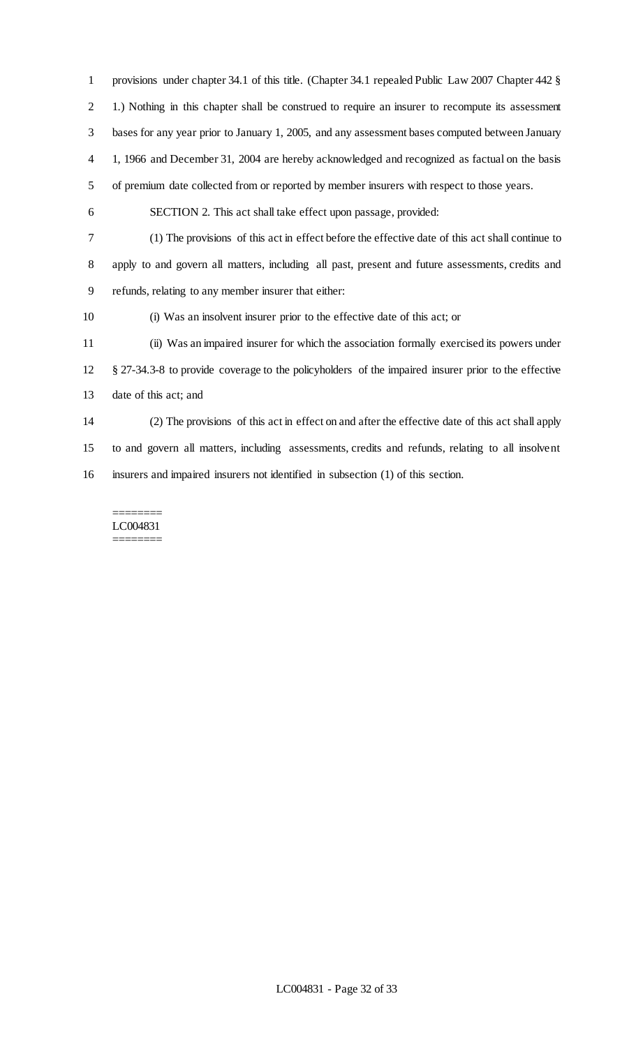provisions under chapter 34.1 of this title. (Chapter 34.1 repealed Public Law 2007 Chapter 442 § 1.) Nothing in this chapter shall be construed to require an insurer to recompute its assessment bases for any year prior to January 1, 2005, and any assessment bases computed between January 1, 1966 and December 31, 2004 are hereby acknowledged and recognized as factual on the basis of premium date collected from or reported by member insurers with respect to those years. SECTION 2. This act shall take effect upon passage, provided: (1) The provisions of this act in effect before the effective date of this act shall continue to apply to and govern all matters, including all past, present and future assessments, credits and refunds, relating to any member insurer that either: (i) Was an insolvent insurer prior to the effective date of this act; or (ii) Was an impaired insurer for which the association formally exercised its powers under § 27-34.3-8 to provide coverage to the policyholders of the impaired insurer prior to the effective date of this act; and (2) The provisions of this act in effect on and after the effective date of this act shall apply to and govern all matters, including assessments, credits and refunds, relating to all insolvent insurers and impaired insurers not identified in subsection (1) of this section.

======== LC004831 ========